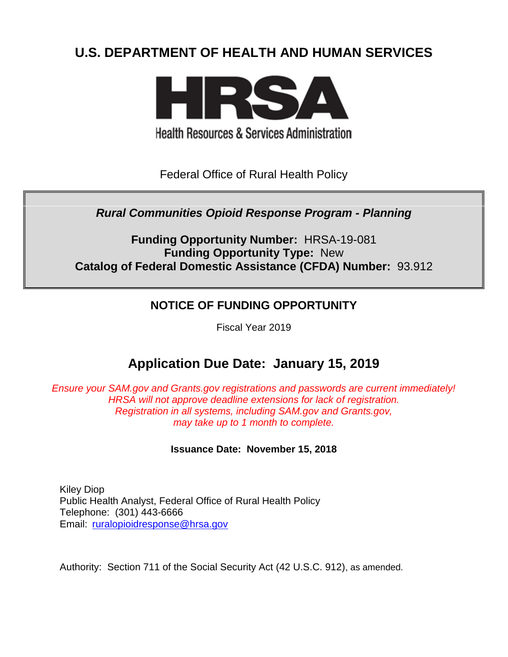# **U.S. DEPARTMENT OF HEALTH AND HUMAN SERVICES**



**Health Resources & Services Administration** 

Federal Office of Rural Health Policy

## *Rural Communities Opioid Response Program - Planning*

**Funding Opportunity Number:** HRSA-19-081 **Funding Opportunity Type:** New **Catalog of Federal Domestic Assistance (CFDA) Number:** 93.912

## **NOTICE OF FUNDING OPPORTUNITY**

Fiscal Year 2019

# **Application Due Date: January 15, 2019**

*Ensure your SAM.gov and Grants.gov registrations and passwords are current immediately! HRSA will not approve deadline extensions for lack of registration. Registration in all systems, including SAM.gov and Grants.gov, may take up to 1 month to complete.*

**Issuance Date:****November 15, 2018** 

Kiley Diop Public Health Analyst, Federal Office of Rural Health Policy Telephone: (301) 443-6666 Email: [ruralopioidresponse@hrsa.gov](mailto:ruralopioidresponse@hrsa.gov)

Authority: Section 711 of the Social Security Act (42 U.S.C. 912), as amended.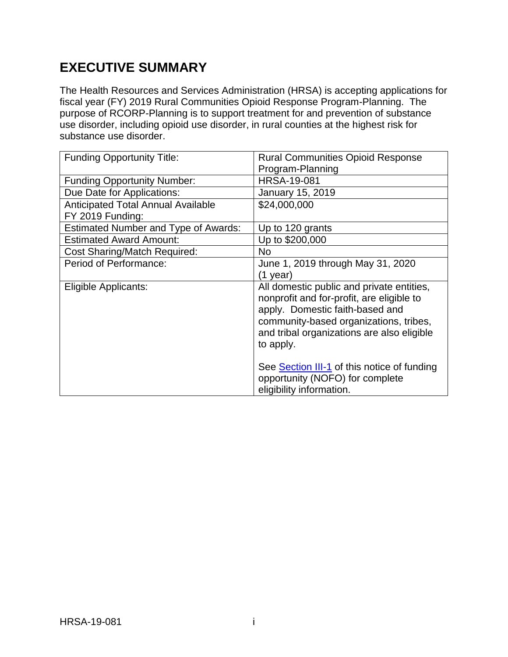# **EXECUTIVE SUMMARY**

The Health Resources and Services Administration (HRSA) is accepting applications for fiscal year (FY) 2019 Rural Communities Opioid Response Program-Planning. The purpose of RCORP-Planning is to support treatment for and prevention of substance use disorder, including opioid use disorder, in rural counties at the highest risk for substance use disorder.

| <b>Funding Opportunity Title:</b>           | <b>Rural Communities Opioid Response</b>    |
|---------------------------------------------|---------------------------------------------|
|                                             | Program-Planning                            |
| <b>Funding Opportunity Number:</b>          | <b>HRSA-19-081</b>                          |
| Due Date for Applications:                  | <b>January 15, 2019</b>                     |
| <b>Anticipated Total Annual Available</b>   | \$24,000,000                                |
| FY 2019 Funding:                            |                                             |
| <b>Estimated Number and Type of Awards:</b> | Up to 120 grants                            |
| <b>Estimated Award Amount:</b>              | Up to \$200,000                             |
| <b>Cost Sharing/Match Required:</b>         | <b>No</b>                                   |
| Period of Performance:                      | June 1, 2019 through May 31, 2020           |
|                                             | (1 year)                                    |
| Eligible Applicants:                        | All domestic public and private entities,   |
|                                             | nonprofit and for-profit, are eligible to   |
|                                             | apply. Domestic faith-based and             |
|                                             | community-based organizations, tribes,      |
|                                             | and tribal organizations are also eligible  |
|                                             | to apply.                                   |
|                                             |                                             |
|                                             | See Section III-1 of this notice of funding |
|                                             | opportunity (NOFO) for complete             |
|                                             | eligibility information.                    |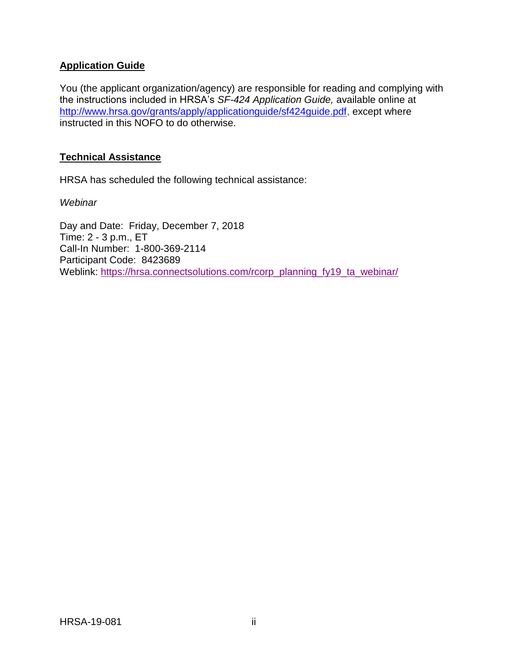## **Application Guide**

You (the applicant organization/agency) are responsible for reading and complying with the instructions included in HRSA's *SF-424 Application Guide,* available online at [http://www.hrsa.gov/grants/apply/applicationguide/sf424guide.pdf,](http://www.hrsa.gov/grants/apply/applicationguide/sf424guide.pdf) except where instructed in this NOFO to do otherwise.

### **Technical Assistance**

HRSA has scheduled the following technical assistance:

*Webinar*

Day and Date: Friday, December 7, 2018 Time: 2 - 3 p.m., ET Call-In Number: 1-800-369-2114 Participant Code: 8423689 Weblink: [https://hrsa.connectsolutions.com/rcorp\\_planning\\_fy19\\_ta\\_webinar/](https://hrsa.connectsolutions.com/rcorp_planning_fy19_ta_webinar/)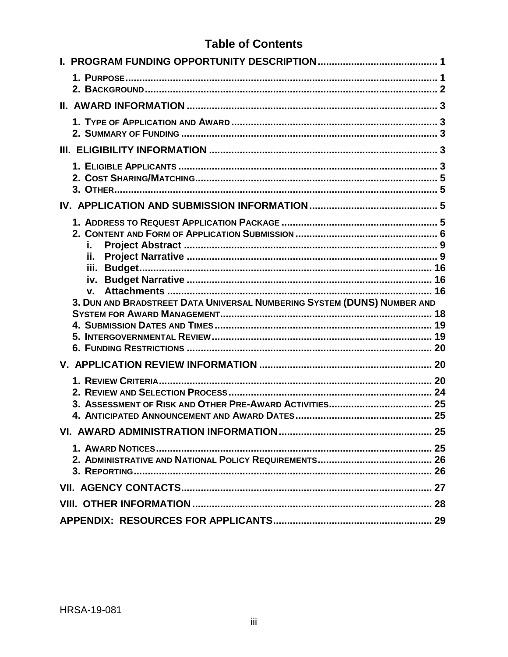# **Table of Contents**

| i.<br>н.                                                                |    |
|-------------------------------------------------------------------------|----|
|                                                                         |    |
| 3. DUN AND BRADSTREET DATA UNIVERSAL NUMBERING SYSTEM (DUNS) NUMBER AND |    |
|                                                                         | 18 |
|                                                                         |    |
|                                                                         |    |
|                                                                         |    |
|                                                                         |    |
|                                                                         |    |
|                                                                         |    |
|                                                                         |    |
|                                                                         |    |
|                                                                         |    |
|                                                                         |    |
|                                                                         |    |
|                                                                         |    |
|                                                                         |    |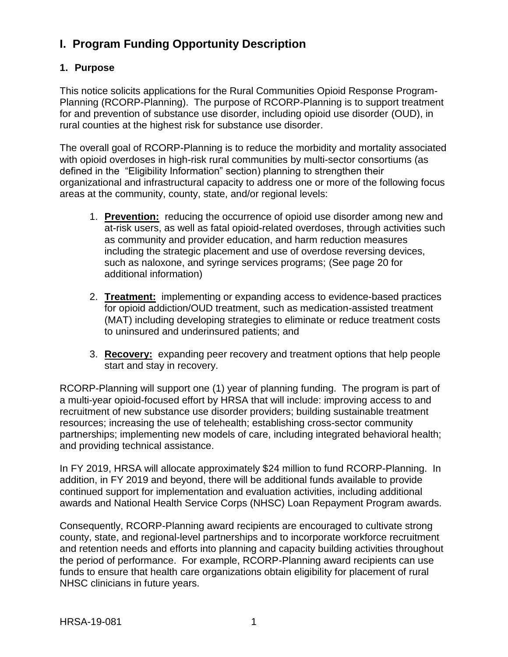# <span id="page-4-0"></span>**I. Program Funding Opportunity Description**

## <span id="page-4-1"></span>**1. Purpose**

This notice solicits applications for the Rural Communities Opioid Response Program-Planning (RCORP-Planning). The purpose of RCORP-Planning is to support treatment for and prevention of substance use disorder, including opioid use disorder (OUD), in rural counties at the highest risk for substance use disorder.

The overall goal of RCORP-Planning is to reduce the morbidity and mortality associated with opioid overdoses in high-risk rural communities by multi-sector consortiums (as defined in the "Eligibility Information" section) planning to strengthen their organizational and infrastructural capacity to address one or more of the following focus areas at the community, county, state, and/or regional levels:

- 1. **Prevention:** reducing the occurrence of opioid use disorder among new and at-risk users, as well as fatal opioid-related overdoses, through activities such as community and provider education, and harm reduction measures including the strategic placement and use of overdose reversing devices, such as naloxone, and syringe services programs; (See page 20 for additional information)
- 2. **Treatment:** implementing or expanding access to evidence-based practices for opioid addiction/OUD treatment, such as medication-assisted treatment (MAT) including developing strategies to eliminate or reduce treatment costs to uninsured and underinsured patients; and
- 3. **Recovery:** expanding peer recovery and treatment options that help people start and stay in recovery.

RCORP-Planning will support one (1) year of planning funding. The program is part of a multi-year opioid-focused effort by HRSA that will include: improving access to and recruitment of new substance use disorder providers; building sustainable treatment resources; increasing the use of telehealth; establishing cross-sector community partnerships; implementing new models of care, including integrated behavioral health; and providing technical assistance.

In FY 2019, HRSA will allocate approximately \$24 million to fund RCORP-Planning. In addition, in FY 2019 and beyond, there will be additional funds available to provide continued support for implementation and evaluation activities, including additional awards and National Health Service Corps (NHSC) Loan Repayment Program awards.

Consequently, RCORP-Planning award recipients are encouraged to cultivate strong county, state, and regional-level partnerships and to incorporate workforce recruitment and retention needs and efforts into planning and capacity building activities throughout the period of performance. For example, RCORP-Planning award recipients can use funds to ensure that health care organizations obtain eligibility for placement of rural NHSC clinicians in future years.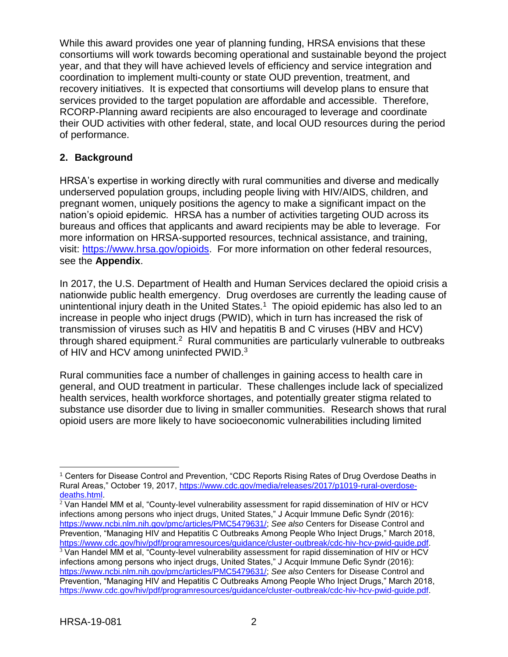While this award provides one year of planning funding, HRSA envisions that these consortiums will work towards becoming operational and sustainable beyond the project year, and that they will have achieved levels of efficiency and service integration and coordination to implement multi-county or state OUD prevention, treatment, and recovery initiatives. It is expected that consortiums will develop plans to ensure that services provided to the target population are affordable and accessible. Therefore, RCORP-Planning award recipients are also encouraged to leverage and coordinate their OUD activities with other federal, state, and local OUD resources during the period of performance.

## <span id="page-5-0"></span>**2. Background**

HRSA's expertise in working directly with rural communities and diverse and medically underserved population groups, including people living with HIV/AIDS, children, and pregnant women, uniquely positions the agency to make a significant impact on the nation's opioid epidemic. HRSA has a number of activities targeting OUD across its bureaus and offices that applicants and award recipients may be able to leverage. For more information on HRSA-supported resources, technical assistance, and training, visit: [https://www.hrsa.gov/opioids.](https://www.hrsa.gov/opioids) For more information on other federal resources, see the **Appendix**.

In 2017, the U.S. Department of Health and Human Services declared the opioid crisis a nationwide public health emergency. Drug overdoses are currently the leading cause of unintentional injury death in the United States.<sup>1</sup> The opioid epidemic has also led to an increase in people who inject drugs (PWID), which in turn has increased the risk of transmission of viruses such as HIV and hepatitis B and C viruses (HBV and HCV) through shared equipment.<sup>2</sup> Rural communities are particularly vulnerable to outbreaks of HIV and HCV among uninfected PWID.<sup>3</sup>

Rural communities face a number of challenges in gaining access to health care in general, and OUD treatment in particular. These challenges include lack of specialized health services, health workforce shortages, and potentially greater stigma related to substance use disorder due to living in smaller communities. Research shows that rural opioid users are more likely to have socioeconomic vulnerabilities including limited

 $\overline{\phantom{a}}$ <sup>1</sup> Centers for Disease Control and Prevention, "CDC Reports Rising Rates of Drug Overdose Deaths in Rural Areas," October 19, 2017, [https://www.cdc.gov/media/releases/2017/p1019-rural-overdose](https://www.cdc.gov/media/releases/2017/p1019-rural-overdose-deaths.html)[deaths.html.](https://www.cdc.gov/media/releases/2017/p1019-rural-overdose-deaths.html)

 $2$  Van Handel MM et al, "County-level vulnerability assessment for rapid dissemination of HIV or HCV infections among persons who inject drugs, United States," J Acquir Immune Defic Syndr (2016): [https://www.ncbi.nlm.nih.gov/pmc/articles/PMC5479631/;](https://www.ncbi.nlm.nih.gov/pmc/articles/PMC5479631/) *See also* Centers for Disease Control and Prevention, "Managing HIV and Hepatitis C Outbreaks Among People Who Inject Drugs," March 2018, [https://www.cdc.gov/hiv/pdf/programresources/guidance/cluster-outbreak/cdc-hiv-hcv-pwid-guide.pdf.](https://www.cdc.gov/hiv/pdf/programresources/guidance/cluster-outbreak/cdc-hiv-hcv-pwid-guide.pdf) <sup>3</sup> Van Handel MM et al, "County-level vulnerability assessment for rapid dissemination of HIV or HCV infections among persons who inject drugs, United States," J Acquir Immune Defic Syndr (2016): [https://www.ncbi.nlm.nih.gov/pmc/articles/PMC5479631/;](https://www.ncbi.nlm.nih.gov/pmc/articles/PMC5479631/) *See also* Centers for Disease Control and Prevention, "Managing HIV and Hepatitis C Outbreaks Among People Who Inject Drugs," March 2018, [https://www.cdc.gov/hiv/pdf/programresources/guidance/cluster-outbreak/cdc-hiv-hcv-pwid-guide.pdf.](https://www.cdc.gov/hiv/pdf/programresources/guidance/cluster-outbreak/cdc-hiv-hcv-pwid-guide.pdf)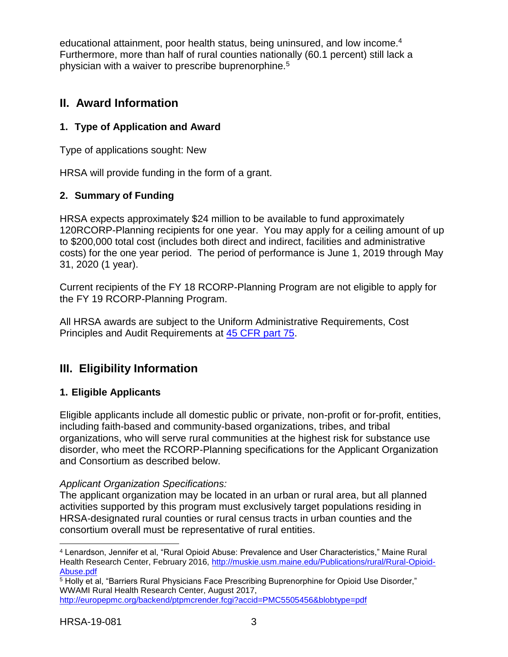educational attainment, poor health status, being uninsured, and low income.<sup>4</sup> Furthermore, more than half of rural counties nationally (60.1 percent) still lack a physician with a waiver to prescribe buprenorphine.<sup>5</sup>

## <span id="page-6-0"></span>**II. Award Information**

## <span id="page-6-1"></span>**1. Type of Application and Award**

Type of applications sought: New

HRSA will provide funding in the form of a grant.

### <span id="page-6-2"></span>**2. Summary of Funding**

HRSA expects approximately \$24 million to be available to fund approximately 120RCORP-Planning recipients for one year. You may apply for a ceiling amount of up to \$200,000 total cost (includes both direct and indirect, facilities and administrative costs) for the one year period. The period of performance is June 1, 2019 through May 31, 2020 (1 year).

Current recipients of the FY 18 RCORP-Planning Program are not eligible to apply for the FY 19 RCORP-Planning Program.

All HRSA awards are subject to the Uniform Administrative Requirements, Cost Principles and Audit Requirements at [45 CFR part 75.](http://www.ecfr.gov/cgi-bin/retrieveECFR?gp=1&SID=4d52364ec83fab994c665943dadf9cf7&ty=HTML&h=L&r=PART&n=pt45.1.75)

# <span id="page-6-3"></span>**III. Eligibility Information**

## <span id="page-6-4"></span>**1. Eligible Applicants**

Eligible applicants include all domestic public or private, non-profit or for-profit, entities, including faith-based and community-based organizations, tribes, and tribal organizations, who will serve rural communities at the highest risk for substance use disorder, who meet the RCORP-Planning specifications for the Applicant Organization and Consortium as described below.

#### *Applicant Organization Specifications:*

The applicant organization may be located in an urban or rural area, but all planned activities supported by this program must exclusively target populations residing in HRSA-designated rural counties or rural census tracts in urban counties and the consortium overall must be representative of rural entities.

 $\overline{\phantom{a}}$ 

<sup>4</sup> Lenardson, Jennifer et al, "Rural Opioid Abuse: Prevalence and User Characteristics," Maine Rural Health Research Center, February 2016, [http://muskie.usm.maine.edu/Publications/rural/Rural-Opioid-](http://muskie.usm.maine.edu/Publications/rural/Rural-Opioid-Abuse.pdf)[Abuse.pdf](http://muskie.usm.maine.edu/Publications/rural/Rural-Opioid-Abuse.pdf)

<sup>5</sup> Holly et al, "Barriers Rural Physicians Face Prescribing Buprenorphine for Opioid Use Disorder," WWAMI Rural Health Research Center, August 2017, <http://europepmc.org/backend/ptpmcrender.fcgi?accid=PMC5505456&blobtype=pdf>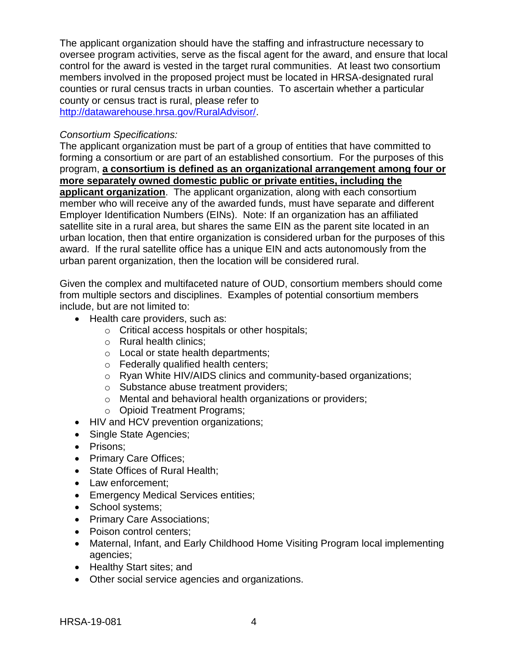The applicant organization should have the staffing and infrastructure necessary to oversee program activities, serve as the fiscal agent for the award, and ensure that local control for the award is vested in the target rural communities. At least two consortium members involved in the proposed project must be located in HRSA-designated rural counties or rural census tracts in urban counties. To ascertain whether a particular county or census tract is rural, please refer to [http://datawarehouse.hrsa.gov/RuralAdvisor/.](http://datawarehouse.hrsa.gov/RuralAdvisor/)

#### *Consortium Specifications:*

The applicant organization must be part of a group of entities that have committed to forming a consortium or are part of an established consortium. For the purposes of this program, **a consortium is defined as an organizational arrangement among four or more separately owned domestic public or private entities, including the applicant organization**. The applicant organization, along with each consortium member who will receive any of the awarded funds, must have separate and different Employer Identification Numbers (EINs). Note: If an organization has an affiliated satellite site in a rural area, but shares the same EIN as the parent site located in an urban location, then that entire organization is considered urban for the purposes of this award. If the rural satellite office has a unique EIN and acts autonomously from the urban parent organization, then the location will be considered rural.

Given the complex and multifaceted nature of OUD, consortium members should come from multiple sectors and disciplines. Examples of potential consortium members include, but are not limited to:

- Health care providers, such as:
	- o Critical access hospitals or other hospitals;
	- o Rural health clinics;
	- o Local or state health departments;
	- o Federally qualified health centers;
	- o Ryan White HIV/AIDS clinics and community-based organizations;
	- o Substance abuse treatment providers;
	- o Mental and behavioral health organizations or providers;
	- o Opioid Treatment Programs;
- HIV and HCV prevention organizations;
- Single State Agencies;
- Prisons;
- Primary Care Offices;
- State Offices of Rural Health:
- Law enforcement;
- **Emergency Medical Services entities;**
- School systems;
- Primary Care Associations;
- Poison control centers;
- Maternal, Infant, and Early Childhood Home Visiting Program local implementing agencies;
- Healthy Start sites; and
- Other social service agencies and organizations.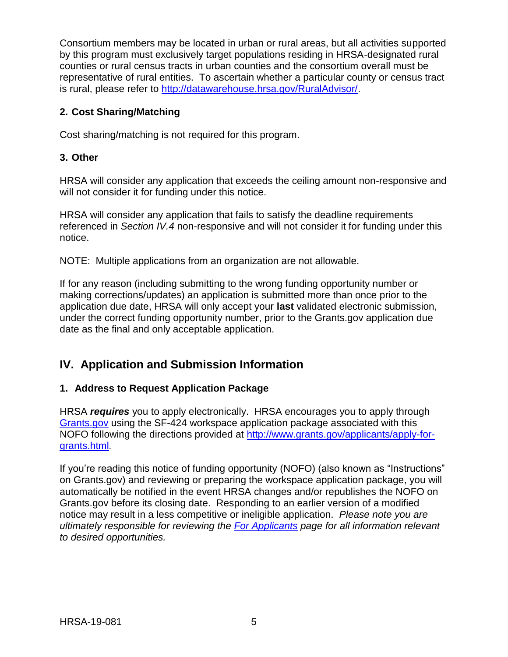Consortium members may be located in urban or rural areas, but all activities supported by this program must exclusively target populations residing in HRSA-designated rural counties or rural census tracts in urban counties and the consortium overall must be representative of rural entities. To ascertain whether a particular county or census tract is rural, please refer to [http://datawarehouse.hrsa.gov/RuralAdvisor/.](http://datawarehouse.hrsa.gov/RuralAdvisor/)

## <span id="page-8-0"></span>**2. Cost Sharing/Matching**

Cost sharing/matching is not required for this program.

## <span id="page-8-1"></span>**3. Other**

HRSA will consider any application that exceeds the ceiling amount non-responsive and will not consider it for funding under this notice.

HRSA will consider any application that fails to satisfy the deadline requirements referenced in *Section IV.4* non-responsive and will not consider it for funding under this notice.

NOTE: Multiple applications from an organization are not allowable.

If for any reason (including submitting to the wrong funding opportunity number or making corrections/updates) an application is submitted more than once prior to the application due date, HRSA will only accept your **last** validated electronic submission, under the correct funding opportunity number, prior to the Grants.gov application due date as the final and only acceptable application.

# <span id="page-8-2"></span>**IV. Application and Submission Information**

## <span id="page-8-3"></span>**1. Address to Request Application Package**

HRSA *requires* you to apply electronically. HRSA encourages you to apply through [Grants.gov](https://www.grants.gov/) using the SF-424 workspace application package associated with this NOFO following the directions provided at [http://www.grants.gov/applicants/apply-for](http://www.grants.gov/applicants/apply-for-grants.html)[grants.html](http://www.grants.gov/applicants/apply-for-grants.html).

If you're reading this notice of funding opportunity (NOFO) (also known as "Instructions" on Grants.gov) and reviewing or preparing the workspace application package, you will automatically be notified in the event HRSA changes and/or republishes the NOFO on Grants.gov before its closing date. Responding to an earlier version of a modified notice may result in a less competitive or ineligible application. *Please note you are ultimately responsible for reviewing the [For Applicants](https://www.grants.gov/web/grants/applicants.html) page for all information relevant to desired opportunities.*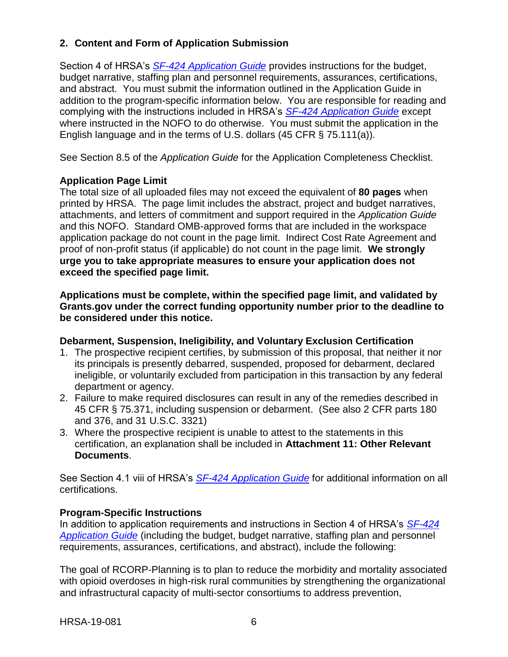## <span id="page-9-0"></span>**2. Content and Form of Application Submission**

Section 4 of HRSA's *SF-424 [Application Guide](http://www.hrsa.gov/grants/apply/applicationguide/sf424guide.pdf)* provides instructions for the budget, budget narrative, staffing plan and personnel requirements, assurances, certifications, and abstract. You must submit the information outlined in the Application Guide in addition to the program-specific information below. You are responsible for reading and complying with the instructions included in HRSA's *SF-424 [Application Guide](http://www.hrsa.gov/grants/apply/applicationguide/sf424guide.pdf)* except where instructed in the NOFO to do otherwise. You must submit the application in the English language and in the terms of U.S. dollars (45 CFR § 75.111(a)).

See Section 8.5 of the *Application Guide* for the Application Completeness Checklist.

## **Application Page Limit**

The total size of all uploaded files may not exceed the equivalent of **80 pages** when printed by HRSA. The page limit includes the abstract, project and budget narratives, attachments, and letters of commitment and support required in the *Application Guide* and this NOFO. Standard OMB-approved forms that are included in the workspace application package do not count in the page limit. Indirect Cost Rate Agreement and proof of non-profit status (if applicable) do not count in the page limit. **We strongly urge you to take appropriate measures to ensure your application does not exceed the specified page limit.**

**Applications must be complete, within the specified page limit, and validated by Grants.gov under the correct funding opportunity number prior to the deadline to be considered under this notice.**

#### **Debarment, Suspension, Ineligibility, and Voluntary Exclusion Certification**

- 1. The prospective recipient certifies, by submission of this proposal, that neither it nor its principals is presently debarred, suspended, proposed for debarment, declared ineligible, or voluntarily excluded from participation in this transaction by any federal department or agency.
- 2. Failure to make required disclosures can result in any of the remedies described in 45 CFR § 75.371, including suspension or debarment. (See also 2 CFR parts 180 and 376, and 31 U.S.C. 3321)
- 3. Where the prospective recipient is unable to attest to the statements in this certification, an explanation shall be included in **Attachment 11: Other Relevant Documents**.

See Section 4.1 viii of HRSA's *SF-424 [Application Guide](http://www.hrsa.gov/grants/apply/applicationguide/sf424guide.pdf)* for additional information on all certifications.

## **Program-Specific Instructions**

In addition to application requirements and instructions in Section 4 of HRSA's *[SF-424](http://www.hrsa.gov/grants/apply/applicationguide/sf424guide.pdf) [Application Guide](http://www.hrsa.gov/grants/apply/applicationguide/sf424guide.pdf)* (including the budget, budget narrative, staffing plan and personnel requirements, assurances, certifications, and abstract), include the following:

The goal of RCORP-Planning is to plan to reduce the morbidity and mortality associated with opioid overdoses in high-risk rural communities by strengthening the organizational and infrastructural capacity of multi-sector consortiums to address prevention,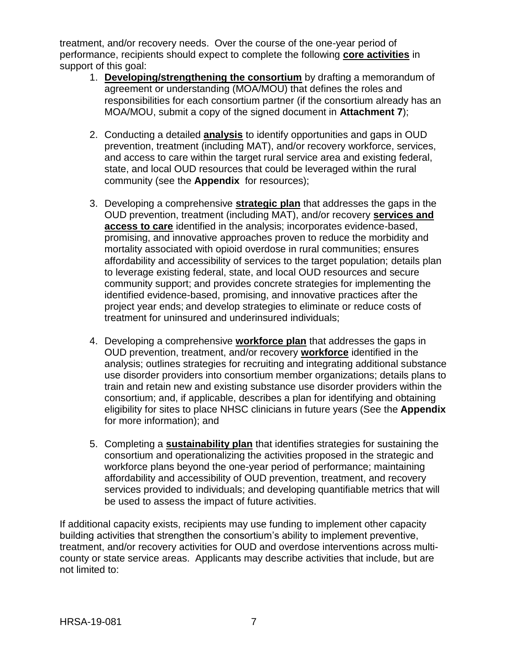treatment, and/or recovery needs. Over the course of the one-year period of performance, recipients should expect to complete the following **core activities** in support of this goal:

- 1. **Developing/strengthening the consortium** by drafting a memorandum of agreement or understanding (MOA/MOU) that defines the roles and responsibilities for each consortium partner (if the consortium already has an MOA/MOU, submit a copy of the signed document in **Attachment 7**);
- 2. Conducting a detailed **analysis** to identify opportunities and gaps in OUD prevention, treatment (including MAT), and/or recovery workforce, services, and access to care within the target rural service area and existing federal, state, and local OUD resources that could be leveraged within the rural community (see the **Appendix** for resources);
- 3. Developing a comprehensive **strategic plan** that addresses the gaps in the OUD prevention, treatment (including MAT), and/or recovery **services and access to care** identified in the analysis; incorporates evidence-based, promising, and innovative approaches proven to reduce the morbidity and mortality associated with opioid overdose in rural communities; ensures affordability and accessibility of services to the target population; details plan to leverage existing federal, state, and local OUD resources and secure community support; and provides concrete strategies for implementing the identified evidence-based, promising, and innovative practices after the project year ends; and develop strategies to eliminate or reduce costs of treatment for uninsured and underinsured individuals;
- 4. Developing a comprehensive **workforce plan** that addresses the gaps in OUD prevention, treatment, and/or recovery **workforce** identified in the analysis; outlines strategies for recruiting and integrating additional substance use disorder providers into consortium member organizations; details plans to train and retain new and existing substance use disorder providers within the consortium; and, if applicable, describes a plan for identifying and obtaining eligibility for sites to place NHSC clinicians in future years (See the **Appendix**  for more information); and
- 5. Completing a **sustainability plan** that identifies strategies for sustaining the consortium and operationalizing the activities proposed in the strategic and workforce plans beyond the one-year period of performance; maintaining affordability and accessibility of OUD prevention, treatment, and recovery services provided to individuals; and developing quantifiable metrics that will be used to assess the impact of future activities.

If additional capacity exists, recipients may use funding to implement other capacity building activities that strengthen the consortium's ability to implement preventive, treatment, and/or recovery activities for OUD and overdose interventions across multicounty or state service areas. Applicants may describe activities that include, but are not limited to: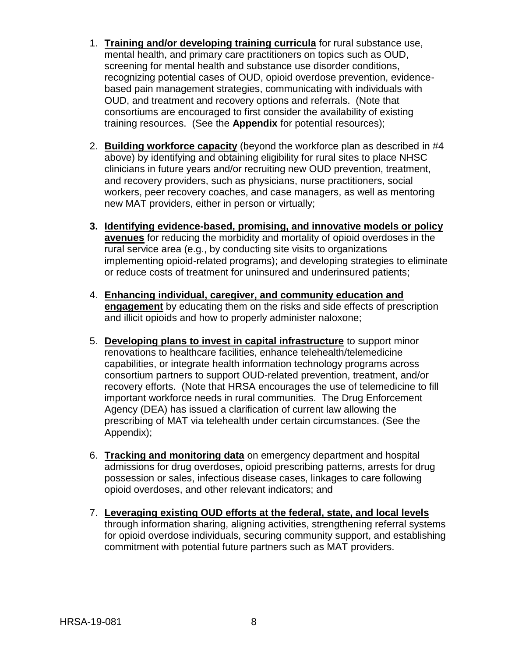- 1. **Training and/or developing training curricula** for rural substance use, mental health, and primary care practitioners on topics such as OUD, screening for mental health and substance use disorder conditions, recognizing potential cases of OUD, opioid overdose prevention, evidencebased pain management strategies, communicating with individuals with OUD, and treatment and recovery options and referrals. (Note that consortiums are encouraged to first consider the availability of existing training resources. (See the **Appendix** for potential resources);
- 2. **Building workforce capacity** (beyond the workforce plan as described in #4 above) by identifying and obtaining eligibility for rural sites to place NHSC clinicians in future years and/or recruiting new OUD prevention, treatment, and recovery providers, such as physicians, nurse practitioners, social workers, peer recovery coaches, and case managers, as well as mentoring new MAT providers, either in person or virtually;
- **3. Identifying evidence-based, promising, and innovative models or policy avenues** for reducing the morbidity and mortality of opioid overdoses in the rural service area (e.g., by conducting site visits to organizations implementing opioid-related programs); and developing strategies to eliminate or reduce costs of treatment for uninsured and underinsured patients;
- 4. **Enhancing individual, caregiver, and community education and engagement** by educating them on the risks and side effects of prescription and illicit opioids and how to properly administer naloxone;
- 5. **Developing plans to invest in capital infrastructure** to support minor renovations to healthcare facilities, enhance telehealth/telemedicine capabilities, or integrate health information technology programs across consortium partners to support OUD-related prevention, treatment, and/or recovery efforts. (Note that HRSA encourages the use of telemedicine to fill important workforce needs in rural communities. The Drug Enforcement Agency (DEA) has issued a clarification of current law allowing the prescribing of MAT via telehealth under certain circumstances. (See the Appendix);
- 6. **Tracking and monitoring data** on emergency department and hospital admissions for drug overdoses, opioid prescribing patterns, arrests for drug possession or sales, infectious disease cases, linkages to care following opioid overdoses, and other relevant indicators; and
- 7. **Leveraging existing OUD efforts at the federal, state, and local levels** through information sharing, aligning activities, strengthening referral systems for opioid overdose individuals, securing community support, and establishing commitment with potential future partners such as MAT providers.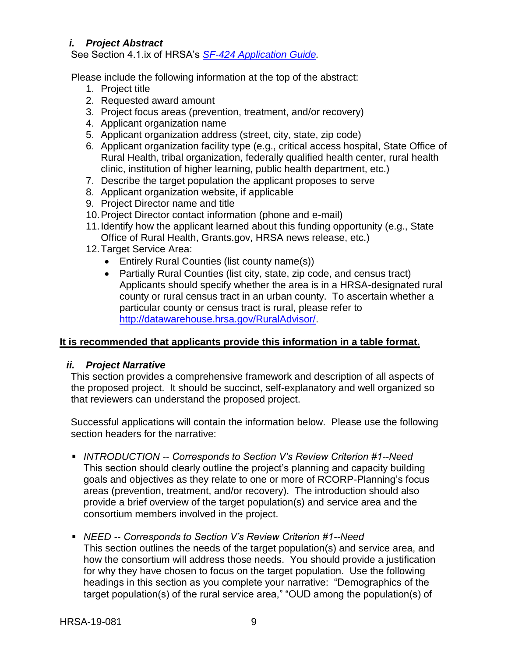### <span id="page-12-0"></span>*i. Project Abstract*

See Section 4.1.ix of HRSA's *SF-424 [Application Guide.](http://www.hrsa.gov/grants/apply/applicationguide/sf424guide.pdf)*

Please include the following information at the top of the abstract:

- 1. Project title
- 2. Requested award amount
- 3. Project focus areas (prevention, treatment, and/or recovery)
- 4. Applicant organization name
- 5. Applicant organization address (street, city, state, zip code)
- 6. Applicant organization facility type (e.g., critical access hospital, State Office of Rural Health, tribal organization, federally qualified health center, rural health clinic, institution of higher learning, public health department, etc.)
- 7. Describe the target population the applicant proposes to serve
- 8. Applicant organization website, if applicable
- 9. Project Director name and title
- 10.Project Director contact information (phone and e-mail)
- 11.Identify how the applicant learned about this funding opportunity (e.g., State Office of Rural Health, Grants.gov, HRSA news release, etc.)
- 12.Target Service Area:
	- Entirely Rural Counties (list county name(s))
	- Partially Rural Counties (list city, state, zip code, and census tract) Applicants should specify whether the area is in a HRSA-designated rural county or rural census tract in an urban county. To ascertain whether a particular county or census tract is rural, please refer to [http://datawarehouse.hrsa.gov/RuralAdvisor/.](http://datawarehouse.hrsa.gov/RuralAdvisor/)

#### **It is recommended that applicants provide this information in a table format.**

#### <span id="page-12-1"></span>*ii. Project Narrative*

This section provides a comprehensive framework and description of all aspects of the proposed project. It should be succinct, self-explanatory and well organized so that reviewers can understand the proposed project.

Successful applications will contain the information below. Please use the following section headers for the narrative:

- *INTRODUCTION -- Corresponds to Section V's Review Criterion #1--Need* This section should clearly outline the project's planning and capacity building goals and objectives as they relate to one or more of RCORP-Planning's focus areas (prevention, treatment, and/or recovery). The introduction should also provide a brief overview of the target population(s) and service area and the consortium members involved in the project.
- *NEED -- Corresponds to Section V's Review Criterion #1--Need* This section outlines the needs of the target population(s) and service area, and how the consortium will address those needs. You should provide a justification for why they have chosen to focus on the target population. Use the following headings in this section as you complete your narrative: "Demographics of the target population(s) of the rural service area," "OUD among the population(s) of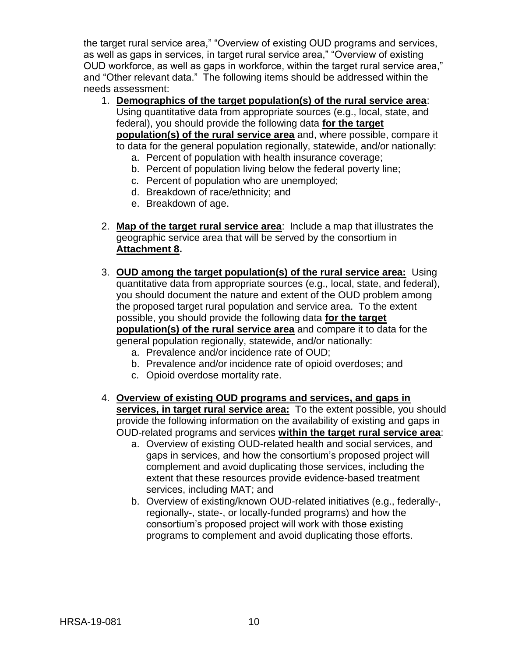the target rural service area," "Overview of existing OUD programs and services, as well as gaps in services, in target rural service area," "Overview of existing OUD workforce, as well as gaps in workforce, within the target rural service area," and "Other relevant data." The following items should be addressed within the needs assessment:

- 1. **Demographics of the target population(s) of the rural service area**: Using quantitative data from appropriate sources (e.g., local, state, and federal), you should provide the following data **for the target population(s) of the rural service area** and, where possible, compare it to data for the general population regionally, statewide, and/or nationally:
	- a. Percent of population with health insurance coverage;
	- b. Percent of population living below the federal poverty line;
	- c. Percent of population who are unemployed;
	- d. Breakdown of race/ethnicity; and
	- e. Breakdown of age.
- 2. **Map of the target rural service area**: Include a map that illustrates the geographic service area that will be served by the consortium in **Attachment 8.**
- 3. **OUD among the target population(s) of the rural service area:** Using quantitative data from appropriate sources (e.g., local, state, and federal), you should document the nature and extent of the OUD problem among the proposed target rural population and service area. To the extent possible, you should provide the following data **for the target population(s) of the rural service area** and compare it to data for the general population regionally, statewide, and/or nationally:
	- a. Prevalence and/or incidence rate of OUD;
	- b. Prevalence and/or incidence rate of opioid overdoses; and
	- c. Opioid overdose mortality rate.
- 4. **Overview of existing OUD programs and services, and gaps in services, in target rural service area:** To the extent possible, you should provide the following information on the availability of existing and gaps in OUD-related programs and services **within the target rural service area**:
	- a. Overview of existing OUD-related health and social services, and gaps in services, and how the consortium's proposed project will complement and avoid duplicating those services, including the extent that these resources provide evidence-based treatment services, including MAT; and
	- b. Overview of existing/known OUD-related initiatives (e.g., federally-, regionally-, state-, or locally-funded programs) and how the consortium's proposed project will work with those existing programs to complement and avoid duplicating those efforts.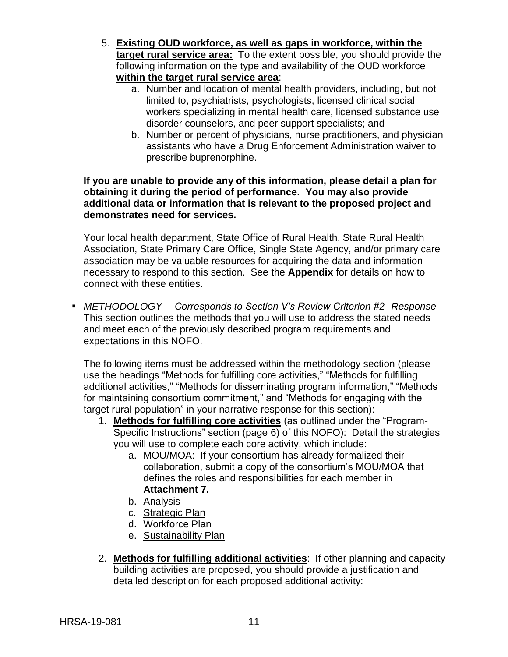- 5. **Existing OUD workforce, as well as gaps in workforce, within the target rural service area:** To the extent possible, you should provide the following information on the type and availability of the OUD workforce **within the target rural service area**:
	- a. Number and location of mental health providers, including, but not limited to, psychiatrists, psychologists, licensed clinical social workers specializing in mental health care, licensed substance use disorder counselors, and peer support specialists; and
	- b. Number or percent of physicians, nurse practitioners, and physician assistants who have a Drug Enforcement Administration waiver to prescribe buprenorphine.

#### **If you are unable to provide any of this information, please detail a plan for obtaining it during the period of performance. You may also provide additional data or information that is relevant to the proposed project and demonstrates need for services.**

Your local health department, State Office of Rural Health, State Rural Health Association, State Primary Care Office, Single State Agency, and/or primary care association may be valuable resources for acquiring the data and information necessary to respond to this section. See the **Appendix** for details on how to connect with these entities.

 *METHODOLOGY -- Corresponds to Section V's Review Criterion #2--Response* This section outlines the methods that you will use to address the stated needs and meet each of the previously described program requirements and expectations in this NOFO.

The following items must be addressed within the methodology section (please use the headings "Methods for fulfilling core activities," "Methods for fulfilling additional activities," "Methods for disseminating program information," "Methods for maintaining consortium commitment," and "Methods for engaging with the target rural population" in your narrative response for this section):

- 1. **Methods for fulfilling core activities** (as outlined under the "Program-Specific Instructions" section (page 6) of this NOFO): Detail the strategies you will use to complete each core activity, which include:
	- a. MOU/MOA: If your consortium has already formalized their collaboration, submit a copy of the consortium's MOU/MOA that defines the roles and responsibilities for each member in **Attachment 7.**
	- b. Analysis
	- c. Strategic Plan
	- d. Workforce Plan
	- e. Sustainability Plan
- 2. **Methods for fulfilling additional activities**: If other planning and capacity building activities are proposed, you should provide a justification and detailed description for each proposed additional activity: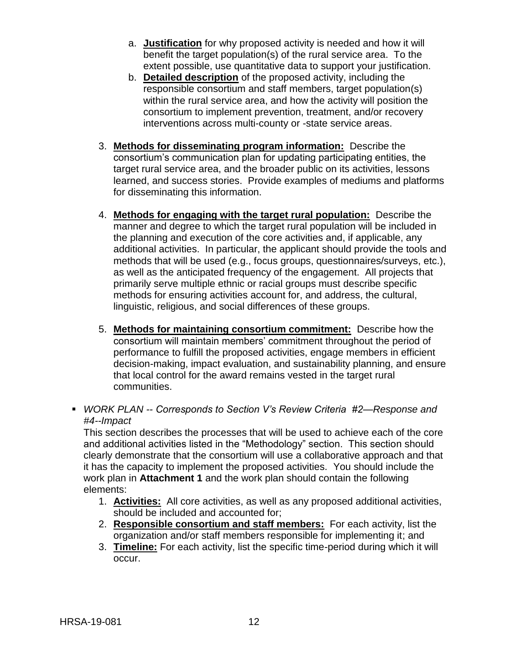- a. **Justification** for why proposed activity is needed and how it will benefit the target population(s) of the rural service area. To the extent possible, use quantitative data to support your justification.
- b. **Detailed description** of the proposed activity, including the responsible consortium and staff members, target population(s) within the rural service area, and how the activity will position the consortium to implement prevention, treatment, and/or recovery interventions across multi-county or -state service areas.
- 3. **Methods for disseminating program information:** Describe the consortium's communication plan for updating participating entities, the target rural service area, and the broader public on its activities, lessons learned, and success stories. Provide examples of mediums and platforms for disseminating this information.
- 4. **Methods for engaging with the target rural population:** Describe the manner and degree to which the target rural population will be included in the planning and execution of the core activities and, if applicable, any additional activities. In particular, the applicant should provide the tools and methods that will be used (e.g., focus groups, questionnaires/surveys, etc.), as well as the anticipated frequency of the engagement. All projects that primarily serve multiple ethnic or racial groups must describe specific methods for ensuring activities account for, and address, the cultural, linguistic, religious, and social differences of these groups.
- 5. **Methods for maintaining consortium commitment:** Describe how the consortium will maintain members' commitment throughout the period of performance to fulfill the proposed activities, engage members in efficient decision-making, impact evaluation, and sustainability planning, and ensure that local control for the award remains vested in the target rural communities.
- *WORK PLAN -- Corresponds to Section V's Review Criteria #2—Response and #4--Impact*

This section describes the processes that will be used to achieve each of the core and additional activities listed in the "Methodology" section. This section should clearly demonstrate that the consortium will use a collaborative approach and that it has the capacity to implement the proposed activities. You should include the work plan in **Attachment 1** and the work plan should contain the following elements:

- 1. **Activities:** All core activities, as well as any proposed additional activities, should be included and accounted for:
- 2. **Responsible consortium and staff members:** For each activity, list the organization and/or staff members responsible for implementing it; and
- 3. **Timeline:** For each activity, list the specific time-period during which it will occur.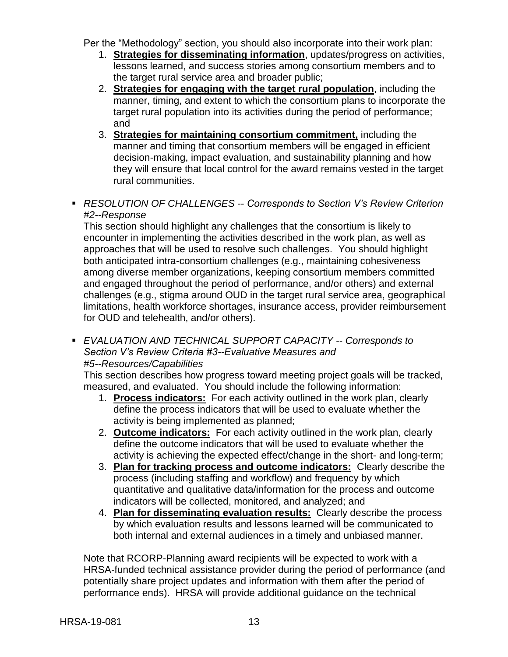Per the "Methodology" section, you should also incorporate into their work plan:

- 1. **Strategies for disseminating information**, updates/progress on activities, lessons learned, and success stories among consortium members and to the target rural service area and broader public;
- 2. **Strategies for engaging with the target rural population**, including the manner, timing, and extent to which the consortium plans to incorporate the target rural population into its activities during the period of performance; and
- 3. **Strategies for maintaining consortium commitment,** including the manner and timing that consortium members will be engaged in efficient decision-making, impact evaluation, and sustainability planning and how they will ensure that local control for the award remains vested in the target rural communities.
- *RESOLUTION OF CHALLENGES -- Corresponds to Section V's Review Criterion #2--Response*

This section should highlight any challenges that the consortium is likely to encounter in implementing the activities described in the work plan, as well as approaches that will be used to resolve such challenges. You should highlight both anticipated intra-consortium challenges (e.g., maintaining cohesiveness among diverse member organizations, keeping consortium members committed and engaged throughout the period of performance, and/or others) and external challenges (e.g., stigma around OUD in the target rural service area, geographical limitations, health workforce shortages, insurance access, provider reimbursement for OUD and telehealth, and/or others).

 *EVALUATION AND TECHNICAL SUPPORT CAPACITY -- Corresponds to Section V's Review Criteria #3--Evaluative Measures and #5--Resources/Capabilities*

This section describes how progress toward meeting project goals will be tracked, measured, and evaluated. You should include the following information:

- 1. **Process indicators:** For each activity outlined in the work plan, clearly define the process indicators that will be used to evaluate whether the activity is being implemented as planned;
- 2. **Outcome indicators:** For each activity outlined in the work plan, clearly define the outcome indicators that will be used to evaluate whether the activity is achieving the expected effect/change in the short- and long-term;
- 3. **Plan for tracking process and outcome indicators:** Clearly describe the process (including staffing and workflow) and frequency by which quantitative and qualitative data/information for the process and outcome indicators will be collected, monitored, and analyzed; and
- 4. **Plan for disseminating evaluation results:** Clearly describe the process by which evaluation results and lessons learned will be communicated to both internal and external audiences in a timely and unbiased manner.

Note that RCORP-Planning award recipients will be expected to work with a HRSA-funded technical assistance provider during the period of performance (and potentially share project updates and information with them after the period of performance ends). HRSA will provide additional guidance on the technical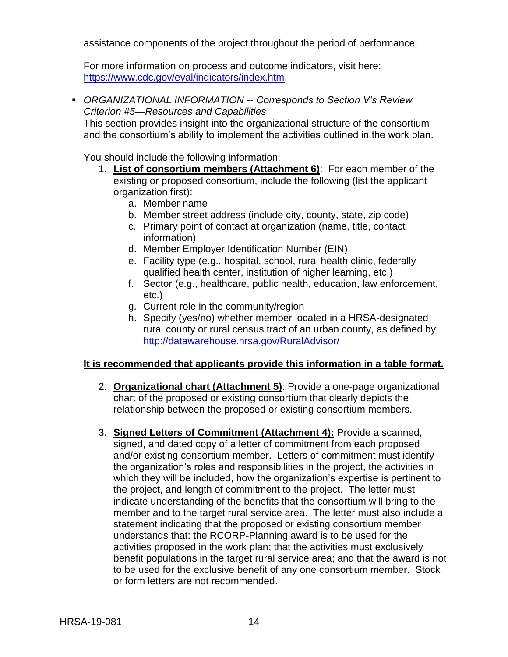assistance components of the project throughout the period of performance.

For more information on process and outcome indicators, visit here: [https://www.cdc.gov/eval/indicators/index.htm.](https://www.cdc.gov/eval/indicators/index.htm)

 *ORGANIZATIONAL INFORMATION -- Corresponds to Section V's Review Criterion #5—Resources and Capabilities*

This section provides insight into the organizational structure of the consortium and the consortium's ability to implement the activities outlined in the work plan.

You should include the following information:

- 1. **List of consortium members (Attachment 6)**: For each member of the existing or proposed consortium, include the following (list the applicant organization first):
	- a. Member name
	- b. Member street address (include city, county, state, zip code)
	- c. Primary point of contact at organization (name, title, contact information)
	- d. Member Employer Identification Number (EIN)
	- e. Facility type (e.g., hospital, school, rural health clinic, federally qualified health center, institution of higher learning, etc.)
	- f. Sector (e.g., healthcare, public health, education, law enforcement, etc.)
	- g. Current role in the community/region
	- h. Specify (yes/no) whether member located in a HRSA-designated rural county or rural census tract of an urban county, as defined by: <http://datawarehouse.hrsa.gov/RuralAdvisor/>

#### **It is recommended that applicants provide this information in a table format.**

- 2. **Organizational chart (Attachment 5)**: Provide a one-page organizational chart of the proposed or existing consortium that clearly depicts the relationship between the proposed or existing consortium members.
- 3. **Signed Letters of Commitment (Attachment 4):** Provide a scanned, signed, and dated copy of a letter of commitment from each proposed and/or existing consortium member. Letters of commitment must identify the organization's roles and responsibilities in the project, the activities in which they will be included, how the organization's expertise is pertinent to the project, and length of commitment to the project. The letter must indicate understanding of the benefits that the consortium will bring to the member and to the target rural service area. The letter must also include a statement indicating that the proposed or existing consortium member understands that: the RCORP-Planning award is to be used for the activities proposed in the work plan; that the activities must exclusively benefit populations in the target rural service area; and that the award is not to be used for the exclusive benefit of any one consortium member. Stock or form letters are not recommended.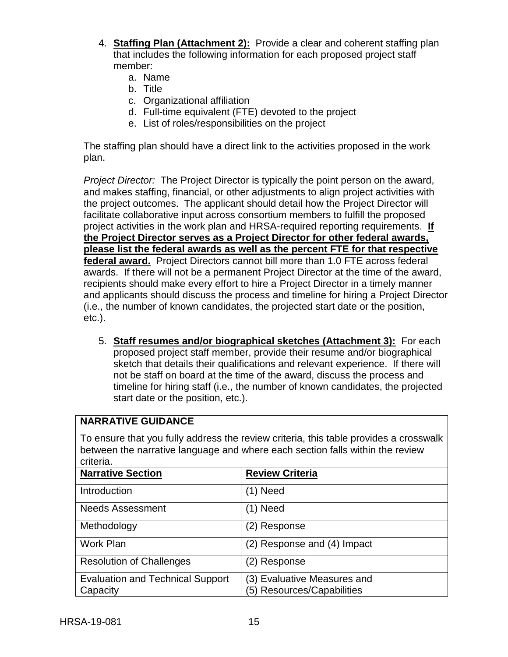- 4. **Staffing Plan (Attachment 2):** Provide a clear and coherent staffing plan that includes the following information for each proposed project staff member:
	- a. Name
	- b. Title
	- c. Organizational affiliation
	- d. Full-time equivalent (FTE) devoted to the project
	- e. List of roles/responsibilities on the project

The staffing plan should have a direct link to the activities proposed in the work plan.

*Project Director:* The Project Director is typically the point person on the award, and makes staffing, financial, or other adjustments to align project activities with the project outcomes. The applicant should detail how the Project Director will facilitate collaborative input across consortium members to fulfill the proposed project activities in the work plan and HRSA-required reporting requirements. **If the Project Director serves as a Project Director for other federal awards, please list the federal awards as well as the percent FTE for that respective federal award.** Project Directors cannot bill more than 1.0 FTE across federal awards. If there will not be a permanent Project Director at the time of the award, recipients should make every effort to hire a Project Director in a timely manner and applicants should discuss the process and timeline for hiring a Project Director (i.e., the number of known candidates, the projected start date or the position, etc.).

5. **Staff resumes and/or biographical sketches (Attachment 3):** For each proposed project staff member, provide their resume and/or biographical sketch that details their qualifications and relevant experience. If there will not be staff on board at the time of the award, discuss the process and timeline for hiring staff (i.e., the number of known candidates, the projected start date or the position, etc.).

## **NARRATIVE GUIDANCE**

To ensure that you fully address the review criteria, this table provides a crosswalk between the narrative language and where each section falls within the review criteria.

| -----<br><b>Narrative Section</b>                   | <b>Review Criteria</b>                                    |
|-----------------------------------------------------|-----------------------------------------------------------|
| Introduction                                        | (1) Need                                                  |
| <b>Needs Assessment</b>                             | (1) Need                                                  |
| Methodology                                         | (2) Response                                              |
| <b>Work Plan</b>                                    | (2) Response and (4) Impact                               |
| <b>Resolution of Challenges</b>                     | (2) Response                                              |
| <b>Evaluation and Technical Support</b><br>Capacity | (3) Evaluative Measures and<br>(5) Resources/Capabilities |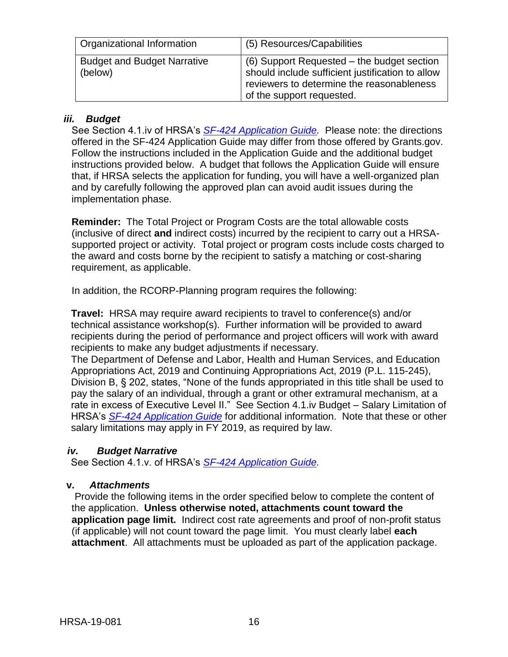| Organizational Information                    | (5) Resources/Capabilities                                                                                                                                               |
|-----------------------------------------------|--------------------------------------------------------------------------------------------------------------------------------------------------------------------------|
| <b>Budget and Budget Narrative</b><br>(below) | (6) Support Requested – the budget section<br>should include sufficient justification to allow<br>reviewers to determine the reasonableness<br>of the support requested. |

#### <span id="page-19-0"></span>*iii. Budget*

See Section 4.1.iv of HRSA's *SF-424 [Application Guide.](http://www.hrsa.gov/grants/apply/applicationguide/sf424guide.pdf)* Please note: the directions offered in the SF-424 Application Guide may differ from those offered by Grants.gov. Follow the instructions included in the Application Guide and the additional budget instructions provided below. A budget that follows the Application Guide will ensure that, if HRSA selects the application for funding, you will have a well-organized plan and by carefully following the approved plan can avoid audit issues during the implementation phase.

**Reminder:** The Total Project or Program Costs are the total allowable costs (inclusive of direct **and** indirect costs) incurred by the recipient to carry out a HRSAsupported project or activity. Total project or program costs include costs charged to the award and costs borne by the recipient to satisfy a matching or cost-sharing requirement, as applicable.

In addition, the RCORP-Planning program requires the following:

**Travel:** HRSA may require award recipients to travel to conference(s) and/or technical assistance workshop(s). Further information will be provided to award recipients during the period of performance and project officers will work with award recipients to make any budget adjustments if necessary.

The Department of Defense and Labor, Health and Human Services, and Education Appropriations Act, 2019 and Continuing Appropriations Act, 2019 (P.L. 115-245), Division B, § 202, states, "None of the funds appropriated in this title shall be used to pay the salary of an individual, through a grant or other extramural mechanism, at a rate in excess of Executive Level II." See Section 4.1.iv Budget – Salary Limitation of HRSA's *SF-424 [Application Guide](http://www.hrsa.gov/grants/apply/applicationguide/sf424guide.pdf)* for additional information. Note that these or other salary limitations may apply in FY 2019, as required by law.

#### <span id="page-19-1"></span>*iv. Budget Narrative*

See Section 4.1.v. of HRSA's *SF-424 [Application Guide.](http://www.hrsa.gov/grants/apply/applicationguide/sf424guide.pdf)*

#### <span id="page-19-2"></span>**v.** *Attachments*

Provide the following items in the order specified below to complete the content of the application. **Unless otherwise noted, attachments count toward the application page limit.** Indirect cost rate agreements and proof of non-profit status (if applicable) will not count toward the page limit. You must clearly label **each attachment**. All attachments must be uploaded as part of the application package.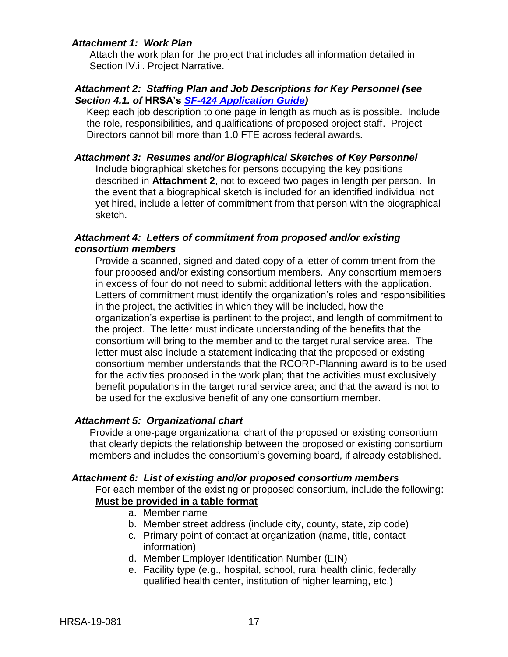#### *Attachment 1: Work Plan*

Attach the work plan for the project that includes all information detailed in Section IV.ii. Project Narrative.

#### *Attachment 2: Staffing Plan and Job Descriptions for Key Personnel (see Section 4.1. of* **HRSA's** *SF-424 [Application Guide\)](http://www.hrsa.gov/grants/apply/applicationguide/sf424guide.pdf)*

Keep each job description to one page in length as much as is possible. Include the role, responsibilities, and qualifications of proposed project staff. Project Directors cannot bill more than 1.0 FTE across federal awards.

#### *Attachment 3: Resumes and/or Biographical Sketches of Key Personnel*

Include biographical sketches for persons occupying the key positions described in **Attachment 2**, not to exceed two pages in length per person. In the event that a biographical sketch is included for an identified individual not yet hired, include a letter of commitment from that person with the biographical sketch.

#### *Attachment 4: Letters of commitment from proposed and/or existing consortium members*

Provide a scanned, signed and dated copy of a letter of commitment from the four proposed and/or existing consortium members. Any consortium members in excess of four do not need to submit additional letters with the application. Letters of commitment must identify the organization's roles and responsibilities in the project, the activities in which they will be included, how the organization's expertise is pertinent to the project, and length of commitment to the project. The letter must indicate understanding of the benefits that the consortium will bring to the member and to the target rural service area. The letter must also include a statement indicating that the proposed or existing consortium member understands that the RCORP-Planning award is to be used for the activities proposed in the work plan; that the activities must exclusively benefit populations in the target rural service area; and that the award is not to be used for the exclusive benefit of any one consortium member.

#### *Attachment 5: Organizational chart*

Provide a one-page organizational chart of the proposed or existing consortium that clearly depicts the relationship between the proposed or existing consortium members and includes the consortium's governing board, if already established.

#### *Attachment 6: List of existing and/or proposed consortium members*

For each member of the existing or proposed consortium, include the following: **Must be provided in a table format**

- a. Member name
- b. Member street address (include city, county, state, zip code)
- c. Primary point of contact at organization (name, title, contact information)
- d. Member Employer Identification Number (EIN)
- e. Facility type (e.g., hospital, school, rural health clinic, federally qualified health center, institution of higher learning, etc.)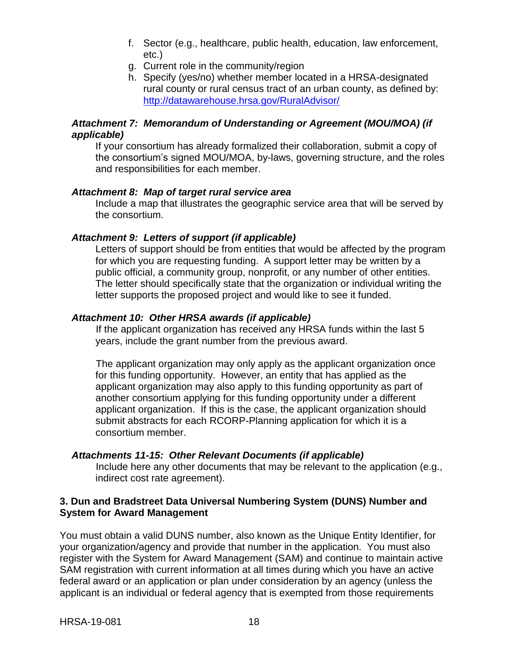- f. Sector (e.g., healthcare, public health, education, law enforcement, etc.)
- g. Current role in the community/region
- h. Specify (yes/no) whether member located in a HRSA-designated rural county or rural census tract of an urban county, as defined by: <http://datawarehouse.hrsa.gov/RuralAdvisor/>

#### *Attachment 7: Memorandum of Understanding or Agreement (MOU/MOA) (if applicable)*

If your consortium has already formalized their collaboration, submit a copy of the consortium's signed MOU/MOA, by-laws, governing structure, and the roles and responsibilities for each member.

#### *Attachment 8: Map of target rural service area*

Include a map that illustrates the geographic service area that will be served by the consortium.

#### *Attachment 9: Letters of support (if applicable)*

Letters of support should be from entities that would be affected by the program for which you are requesting funding. A support letter may be written by a public official, a community group, nonprofit, or any number of other entities. The letter should specifically state that the organization or individual writing the letter supports the proposed project and would like to see it funded.

#### *Attachment 10: Other HRSA awards (if applicable)*

If the applicant organization has received any HRSA funds within the last 5 years, include the grant number from the previous award.

The applicant organization may only apply as the applicant organization once for this funding opportunity. However, an entity that has applied as the applicant organization may also apply to this funding opportunity as part of another consortium applying for this funding opportunity under a different applicant organization. If this is the case, the applicant organization should submit abstracts for each RCORP-Planning application for which it is a consortium member.

#### *Attachments 11-15: Other Relevant Documents (if applicable)*

Include here any other documents that may be relevant to the application (e.g., indirect cost rate agreement).

#### <span id="page-21-0"></span>**3. Dun and Bradstreet Data Universal Numbering System (DUNS) Number and System for Award Management**

You must obtain a valid DUNS number, also known as the Unique Entity Identifier, for your organization/agency and provide that number in the application. You must also register with the System for Award Management (SAM) and continue to maintain active SAM registration with current information at all times during which you have an active federal award or an application or plan under consideration by an agency (unless the applicant is an individual or federal agency that is exempted from those requirements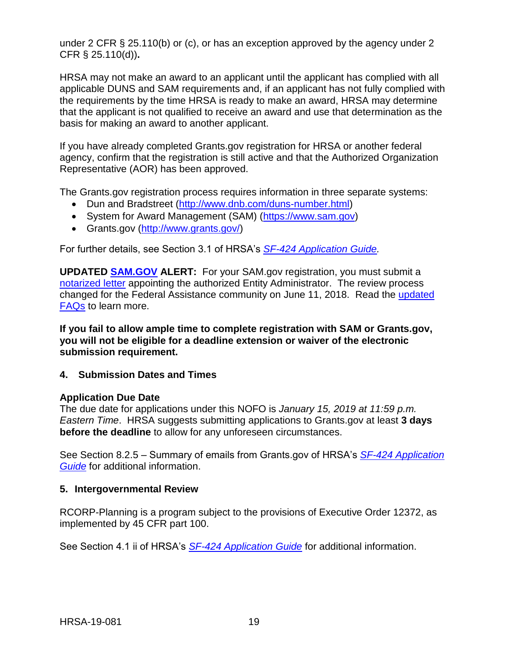under 2 CFR § 25.110(b) or (c), or has an exception approved by the agency under 2 CFR § 25.110(d))**.**

HRSA may not make an award to an applicant until the applicant has complied with all applicable DUNS and SAM requirements and, if an applicant has not fully complied with the requirements by the time HRSA is ready to make an award, HRSA may determine that the applicant is not qualified to receive an award and use that determination as the basis for making an award to another applicant.

If you have already completed Grants.gov registration for HRSA or another federal agency, confirm that the registration is still active and that the Authorized Organization Representative (AOR) has been approved.

The Grants.gov registration process requires information in three separate systems:

- Dun and Bradstreet [\(http://www.dnb.com/duns-number.html\)](http://www.dnb.com/duns-number.html)
- System for Award Management (SAM) [\(https://www.sam.gov\)](https://www.sam.gov/)
- Grants.gov [\(http://www.grants.gov/\)](http://www.grants.gov/)

For further details, see Section 3.1 of HRSA's *SF-424 [Application Guide.](http://www.hrsa.gov/grants/apply/applicationguide/sf424guide.pdf)*

**UPDATED [SAM.GOV](http://sam.gov/) ALERT:** For your SAM.gov registration, you must submit a [notarized letter](https://www.fsd.gov/fsd-gov/answer.do?sysparm_kbid=d2e67885db0d5f00b3257d321f96194b&sysparm_search=kb0013183) appointing the authorized Entity Administrator. The review process changed for the Federal Assistance community on June 11, 2018. Read the [updated](https://www.gsa.gov/about-us/organization/federal-acquisition-service/office-of-systems-management/integrated-award-environment-iae/sam-update)  [FAQs](https://www.gsa.gov/about-us/organization/federal-acquisition-service/office-of-systems-management/integrated-award-environment-iae/sam-update) to learn more.

**If you fail to allow ample time to complete registration with SAM or Grants.gov, you will not be eligible for a deadline extension or waiver of the electronic submission requirement.**

#### <span id="page-22-0"></span>**4. Submission Dates and Times**

#### **Application Due Date**

The due date for applications under this NOFO is *January 15, 2019 at 11:59 p.m. Eastern Time*. HRSA suggests submitting applications to Grants.gov at least **3 days before the deadline** to allow for any unforeseen circumstances.

See Section 8.2.5 – Summary of emails from Grants.gov of HRSA's *[SF-424 Application](http://www.hrsa.gov/grants/apply/applicationguide/sf424guide.pdf)  [Guide](http://www.hrsa.gov/grants/apply/applicationguide/sf424guide.pdf)* for additional information.

#### <span id="page-22-1"></span>**5. Intergovernmental Review**

RCORP-Planning is a program subject to the provisions of Executive Order 12372, as implemented by 45 CFR part 100.

See Section 4.1 ii of HRSA's *SF-424 [Application Guide](http://www.hrsa.gov/grants/apply/applicationguide/sf424guide.pdf)* for additional information.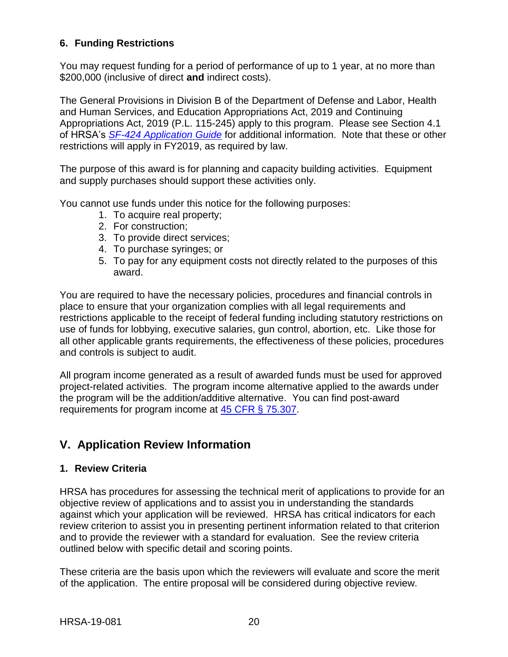## <span id="page-23-0"></span>**6. Funding Restrictions**

You may request funding for a period of performance of up to 1 year, at no more than \$200,000 (inclusive of direct **and** indirect costs).

The General Provisions in Division B of the Department of Defense and Labor, Health and Human Services, and Education Appropriations Act, 2019 and Continuing Appropriations Act, 2019 (P.L. 115-245) apply to this program. Please see Section 4.1 of HRSA's *SF-424 [Application Guide](http://www.hrsa.gov/grants/apply/applicationguide/sf424guide.pdf)* for additional information. Note that these or other restrictions will apply in FY2019, as required by law.

The purpose of this award is for planning and capacity building activities. Equipment and supply purchases should support these activities only.

You cannot use funds under this notice for the following purposes:

- 1. To acquire real property;
- 2. For construction;
- 3. To provide direct services;
- 4. To purchase syringes; or
- 5. To pay for any equipment costs not directly related to the purposes of this award.

You are required to have the necessary policies, procedures and financial controls in place to ensure that your organization complies with all legal requirements and restrictions applicable to the receipt of federal funding including statutory restrictions on use of funds for lobbying, executive salaries, gun control, abortion, etc. Like those for all other applicable grants requirements, the effectiveness of these policies, procedures and controls is subject to audit.

All program income generated as a result of awarded funds must be used for approved project-related activities. The program income alternative applied to the awards under the program will be the addition/additive alternative. You can find post-award requirements for program income at [45 CFR § 75.307.](https://www.ecfr.gov/cgi-bin/retrieveECFR?gp=1&SID=4d52364ec83fab994c665943dadf9cf7&ty=HTML&h=L&r=PART&n=pt45.1.75)

# <span id="page-23-1"></span>**V. Application Review Information**

## <span id="page-23-2"></span>**1. Review Criteria**

HRSA has procedures for assessing the technical merit of applications to provide for an objective review of applications and to assist you in understanding the standards against which your application will be reviewed. HRSA has critical indicators for each review criterion to assist you in presenting pertinent information related to that criterion and to provide the reviewer with a standard for evaluation. See the review criteria outlined below with specific detail and scoring points.

These criteria are the basis upon which the reviewers will evaluate and score the merit of the application. The entire proposal will be considered during objective review.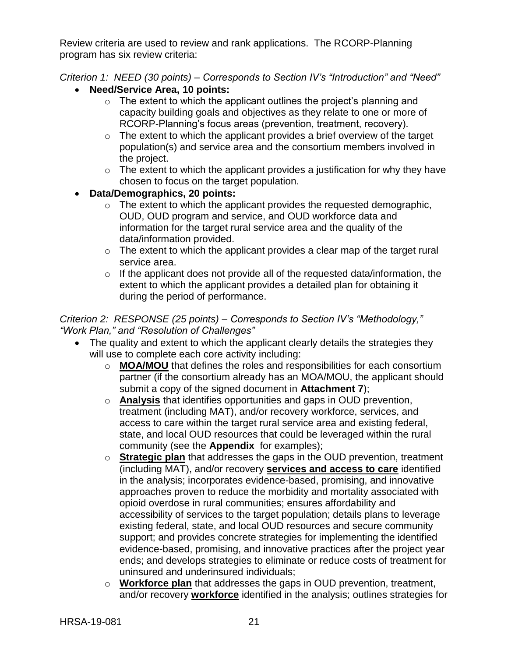Review criteria are used to review and rank applications. The RCORP-Planning program has six review criteria:

*Criterion 1: NEED (30 points) – Corresponds to Section IV's "Introduction" and "Need"*

- **Need/Service Area, 10 points:**
	- $\circ$  The extent to which the applicant outlines the project's planning and capacity building goals and objectives as they relate to one or more of RCORP-Planning's focus areas (prevention, treatment, recovery).
	- $\circ$  The extent to which the applicant provides a brief overview of the target population(s) and service area and the consortium members involved in the project.
	- $\circ$  The extent to which the applicant provides a justification for why they have chosen to focus on the target population.
- **Data/Demographics, 20 points:**
	- $\circ$  The extent to which the applicant provides the requested demographic, OUD, OUD program and service, and OUD workforce data and information for the target rural service area and the quality of the data/information provided.
	- $\circ$  The extent to which the applicant provides a clear map of the target rural service area.
	- $\circ$  If the applicant does not provide all of the requested data/information, the extent to which the applicant provides a detailed plan for obtaining it during the period of performance.

*Criterion 2: RESPONSE (25 points) – Corresponds to Section IV's "Methodology," "Work Plan," and "Resolution of Challenges"*

- The quality and extent to which the applicant clearly details the strategies they will use to complete each core activity including:
	- o **MOA/MOU** that defines the roles and responsibilities for each consortium partner (if the consortium already has an MOA/MOU, the applicant should submit a copy of the signed document in **Attachment 7**);
	- o **Analysis** that identifies opportunities and gaps in OUD prevention, treatment (including MAT), and/or recovery workforce, services, and access to care within the target rural service area and existing federal, state, and local OUD resources that could be leveraged within the rural community (see the **Appendix** for examples);
	- o **Strategic plan** that addresses the gaps in the OUD prevention, treatment (including MAT), and/or recovery **services and access to care** identified in the analysis; incorporates evidence-based, promising, and innovative approaches proven to reduce the morbidity and mortality associated with opioid overdose in rural communities; ensures affordability and accessibility of services to the target population; details plans to leverage existing federal, state, and local OUD resources and secure community support; and provides concrete strategies for implementing the identified evidence-based, promising, and innovative practices after the project year ends; and develops strategies to eliminate or reduce costs of treatment for uninsured and underinsured individuals;
	- o **Workforce plan** that addresses the gaps in OUD prevention, treatment, and/or recovery **workforce** identified in the analysis; outlines strategies for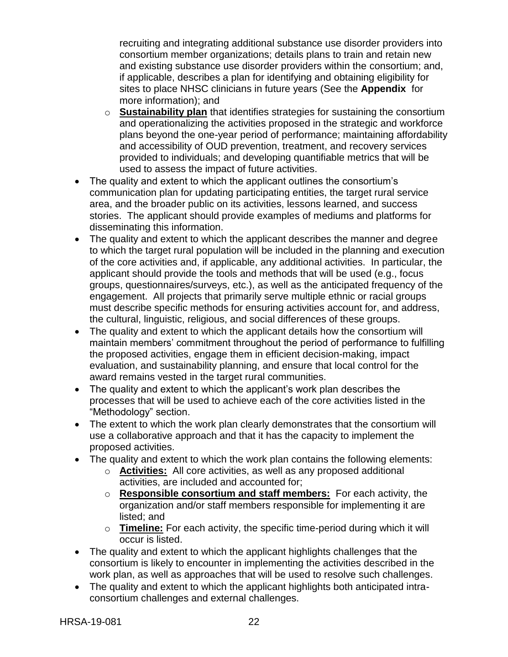recruiting and integrating additional substance use disorder providers into consortium member organizations; details plans to train and retain new and existing substance use disorder providers within the consortium; and, if applicable, describes a plan for identifying and obtaining eligibility for sites to place NHSC clinicians in future years (See the **Appendix** for more information); and

- o **Sustainability plan** that identifies strategies for sustaining the consortium and operationalizing the activities proposed in the strategic and workforce plans beyond the one-year period of performance; maintaining affordability and accessibility of OUD prevention, treatment, and recovery services provided to individuals; and developing quantifiable metrics that will be used to assess the impact of future activities.
- The quality and extent to which the applicant outlines the consortium's communication plan for updating participating entities, the target rural service area, and the broader public on its activities, lessons learned, and success stories. The applicant should provide examples of mediums and platforms for disseminating this information.
- The quality and extent to which the applicant describes the manner and degree to which the target rural population will be included in the planning and execution of the core activities and, if applicable, any additional activities. In particular, the applicant should provide the tools and methods that will be used (e.g., focus groups, questionnaires/surveys, etc.), as well as the anticipated frequency of the engagement. All projects that primarily serve multiple ethnic or racial groups must describe specific methods for ensuring activities account for, and address, the cultural, linguistic, religious, and social differences of these groups.
- The quality and extent to which the applicant details how the consortium will maintain members' commitment throughout the period of performance to fulfilling the proposed activities, engage them in efficient decision-making, impact evaluation, and sustainability planning, and ensure that local control for the award remains vested in the target rural communities.
- The quality and extent to which the applicant's work plan describes the processes that will be used to achieve each of the core activities listed in the "Methodology" section.
- The extent to which the work plan clearly demonstrates that the consortium will use a collaborative approach and that it has the capacity to implement the proposed activities.
- The quality and extent to which the work plan contains the following elements:
	- o **Activities:** All core activities, as well as any proposed additional activities, are included and accounted for;
	- o **Responsible consortium and staff members:** For each activity, the organization and/or staff members responsible for implementing it are listed; and
	- o **Timeline:** For each activity, the specific time-period during which it will occur is listed.
- The quality and extent to which the applicant highlights challenges that the consortium is likely to encounter in implementing the activities described in the work plan, as well as approaches that will be used to resolve such challenges.
- The quality and extent to which the applicant highlights both anticipated intraconsortium challenges and external challenges.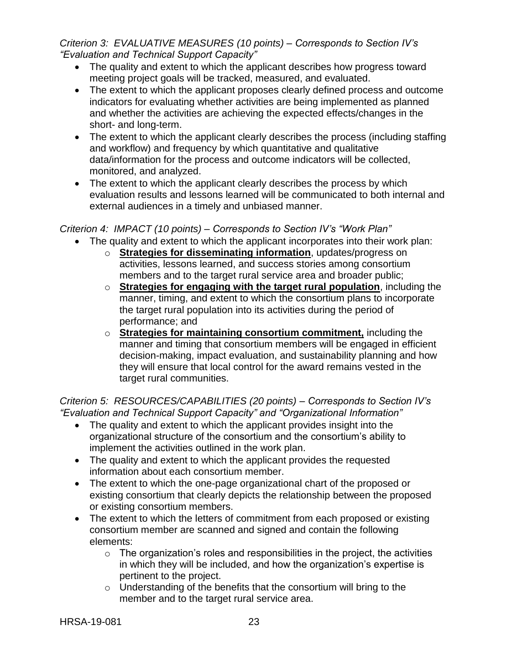*Criterion 3: EVALUATIVE MEASURES (10 points) – Corresponds to Section IV's "Evaluation and Technical Support Capacity"*

- The quality and extent to which the applicant describes how progress toward meeting project goals will be tracked, measured, and evaluated.
- The extent to which the applicant proposes clearly defined process and outcome indicators for evaluating whether activities are being implemented as planned and whether the activities are achieving the expected effects/changes in the short- and long-term.
- The extent to which the applicant clearly describes the process (including staffing and workflow) and frequency by which quantitative and qualitative data/information for the process and outcome indicators will be collected, monitored, and analyzed.
- The extent to which the applicant clearly describes the process by which evaluation results and lessons learned will be communicated to both internal and external audiences in a timely and unbiased manner.

## *Criterion 4: IMPACT (10 points) – Corresponds to Section IV's "Work Plan"*

- The quality and extent to which the applicant incorporates into their work plan:
	- o **Strategies for disseminating information**, updates/progress on activities, lessons learned, and success stories among consortium members and to the target rural service area and broader public;
	- o **Strategies for engaging with the target rural population**, including the manner, timing, and extent to which the consortium plans to incorporate the target rural population into its activities during the period of performance; and
	- o **Strategies for maintaining consortium commitment,** including the manner and timing that consortium members will be engaged in efficient decision-making, impact evaluation, and sustainability planning and how they will ensure that local control for the award remains vested in the target rural communities.

*Criterion 5: RESOURCES/CAPABILITIES (20 points) – Corresponds to Section IV's "Evaluation and Technical Support Capacity" and "Organizational Information"*

- The quality and extent to which the applicant provides insight into the organizational structure of the consortium and the consortium's ability to implement the activities outlined in the work plan.
- The quality and extent to which the applicant provides the requested information about each consortium member.
- The extent to which the one-page organizational chart of the proposed or existing consortium that clearly depicts the relationship between the proposed or existing consortium members.
- The extent to which the letters of commitment from each proposed or existing consortium member are scanned and signed and contain the following elements:
	- $\circ$  The organization's roles and responsibilities in the project, the activities in which they will be included, and how the organization's expertise is pertinent to the project.
	- o Understanding of the benefits that the consortium will bring to the member and to the target rural service area.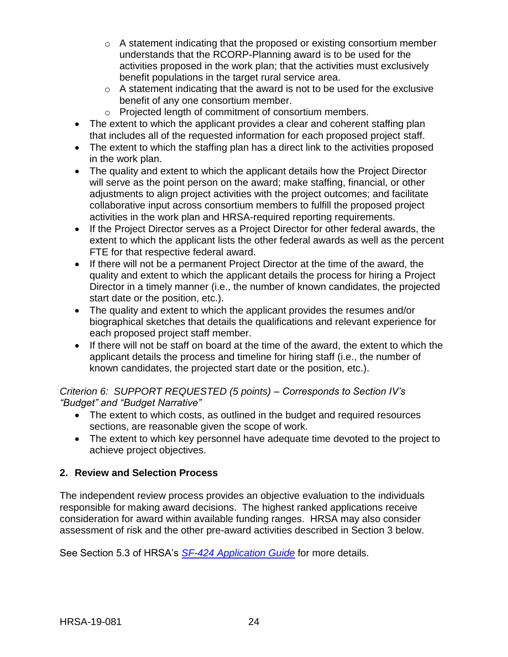- o A statement indicating that the proposed or existing consortium member understands that the RCORP-Planning award is to be used for the activities proposed in the work plan; that the activities must exclusively benefit populations in the target rural service area.
- $\circ$  A statement indicating that the award is not to be used for the exclusive benefit of any one consortium member.
- o Projected length of commitment of consortium members.
- The extent to which the applicant provides a clear and coherent staffing plan that includes all of the requested information for each proposed project staff.
- The extent to which the staffing plan has a direct link to the activities proposed in the work plan.
- The quality and extent to which the applicant details how the Project Director will serve as the point person on the award; make staffing, financial, or other adjustments to align project activities with the project outcomes; and facilitate collaborative input across consortium members to fulfill the proposed project activities in the work plan and HRSA-required reporting requirements.
- If the Project Director serves as a Project Director for other federal awards, the extent to which the applicant lists the other federal awards as well as the percent FTE for that respective federal award.
- If there will not be a permanent Project Director at the time of the award, the quality and extent to which the applicant details the process for hiring a Project Director in a timely manner (i.e., the number of known candidates, the projected start date or the position, etc.).
- The quality and extent to which the applicant provides the resumes and/or biographical sketches that details the qualifications and relevant experience for each proposed project staff member.
- If there will not be staff on board at the time of the award, the extent to which the applicant details the process and timeline for hiring staff (i.e., the number of known candidates, the projected start date or the position, etc.).

## *Criterion 6: SUPPORT REQUESTED (5 points) – Corresponds to Section IV's "Budget" and "Budget Narrative"*

- The extent to which costs, as outlined in the budget and required resources sections, are reasonable given the scope of work.
- The extent to which key personnel have adequate time devoted to the project to achieve project objectives.

## <span id="page-27-0"></span>**2. Review and Selection Process**

The independent review process provides an objective evaluation to the individuals responsible for making award decisions. The highest ranked applications receive consideration for award within available funding ranges. HRSA may also consider assessment of risk and the other pre-award activities described in Section 3 below.

See Section 5.3 of HRSA's *SF-424 [Application Guide](http://www.hrsa.gov/grants/apply/applicationguide/sf424guide.pdf)* for more details.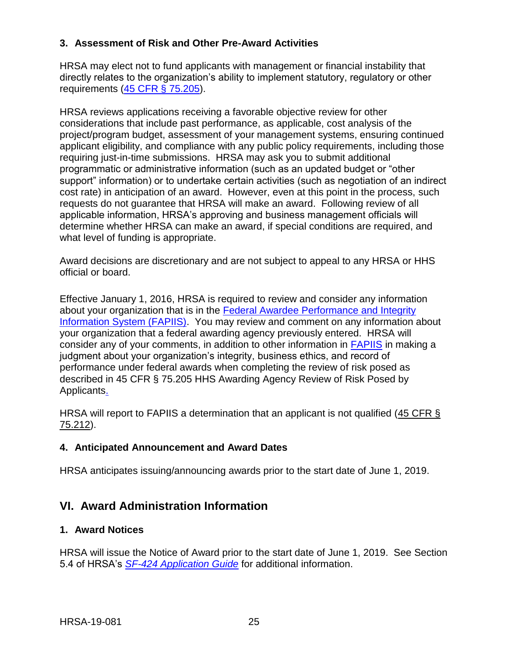## <span id="page-28-0"></span>**3. Assessment of Risk and Other Pre-Award Activities**

HRSA may elect not to fund applicants with management or financial instability that directly relates to the organization's ability to implement statutory, regulatory or other requirements [\(45 CFR § 75.205\)](https://www.ecfr.gov/cgi-bin/retrieveECFR?gp=1&SID=4d52364ec83fab994c665943dadf9cf7&ty=HTML&h=L&r=PART&n=pt45.1.75).

HRSA reviews applications receiving a favorable objective review for other considerations that include past performance, as applicable, cost analysis of the project/program budget, assessment of your management systems, ensuring continued applicant eligibility, and compliance with any public policy requirements, including those requiring just-in-time submissions. HRSA may ask you to submit additional programmatic or administrative information (such as an updated budget or "other support" information) or to undertake certain activities (such as negotiation of an indirect cost rate) in anticipation of an award. However, even at this point in the process, such requests do not guarantee that HRSA will make an award. Following review of all applicable information, HRSA's approving and business management officials will determine whether HRSA can make an award, if special conditions are required, and what level of funding is appropriate.

Award decisions are discretionary and are not subject to appeal to any HRSA or HHS official or board.

Effective January 1, 2016, HRSA is required to review and consider any information about your organization that is in the [Federal Awardee Performance and Integrity](https://www.fapiis.gov/)  [Information System \(FAPIIS\).](https://www.fapiis.gov/) You may review and comment on any information about your organization that a federal awarding agency previously entered. HRSA will consider any of your comments, in addition to other information in [FAPIIS](https://www.fapiis.gov/) in making a judgment about your organization's integrity, business ethics, and record of performance under federal awards when completing the review of risk posed as described in [45 CFR § 75.205 HHS Awarding Agency Review of Risk Posed by](https://www.ecfr.gov/cgi-bin/retrieveECFR?gp=1&SID=4d52364ec83fab994c665943dadf9cf7&ty=HTML&h=L&r=PART&n=pt45.1.75)  [Applicants.](https://www.ecfr.gov/cgi-bin/retrieveECFR?gp=1&SID=4d52364ec83fab994c665943dadf9cf7&ty=HTML&h=L&r=PART&n=pt45.1.75)

HRSA will report to FAPIIS a determination that an applicant is not qualified [\(45 CFR §](https://www.ecfr.gov/cgi-bin/retrieveECFR?gp=1&SID=4d52364ec83fab994c665943dadf9cf7&ty=HTML&h=L&r=PART&n=pt45.1.75)  [75.212\)](https://www.ecfr.gov/cgi-bin/retrieveECFR?gp=1&SID=4d52364ec83fab994c665943dadf9cf7&ty=HTML&h=L&r=PART&n=pt45.1.75).

## <span id="page-28-1"></span>**4. Anticipated Announcement and Award Dates**

HRSA anticipates issuing/announcing awards prior to the start date of June 1, 2019.

# <span id="page-28-2"></span>**VI. Award Administration Information**

## <span id="page-28-3"></span>**1. Award Notices**

HRSA will issue the Notice of Award prior to the start date of June 1, 2019. See Section 5.4 of HRSA's *SF-424 [Application Guide](http://www.hrsa.gov/grants/apply/applicationguide/sf424guide.pdf)* for additional information.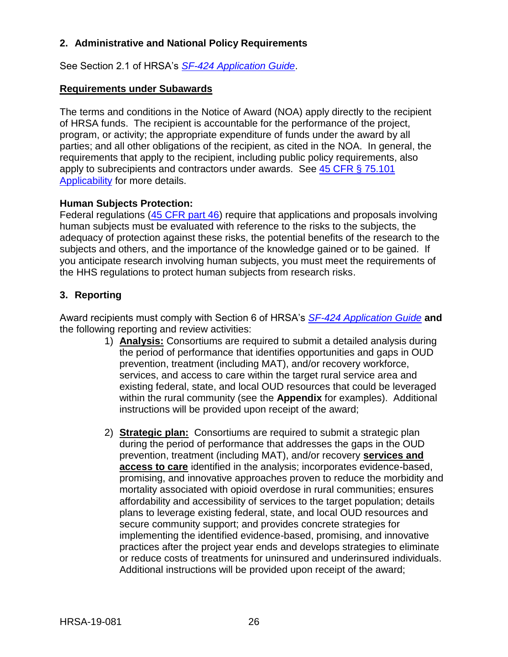## <span id="page-29-0"></span>**2. Administrative and National Policy Requirements**

See Section 2.1 of HRSA's *SF-424 [Application Guide](http://www.hrsa.gov/grants/apply/applicationguide/sf424guide.pdf)*.

#### **Requirements under Subawards**

The terms and conditions in the Notice of Award (NOA) apply directly to the recipient of HRSA funds. The recipient is accountable for the performance of the project, program, or activity; the appropriate expenditure of funds under the award by all parties; and all other obligations of the recipient, as cited in the NOA. In general, the requirements that apply to the recipient, including public policy requirements, also apply to subrecipients and contractors under awards. See [45 CFR § 75.101](https://www.ecfr.gov/cgi-bin/retrieveECFR?gp=1&SID=4d52364ec83fab994c665943dadf9cf7&ty=HTML&h=L&r=PART&n=pt45.1.75)  [Applicability](https://www.ecfr.gov/cgi-bin/retrieveECFR?gp=1&SID=4d52364ec83fab994c665943dadf9cf7&ty=HTML&h=L&r=PART&n=pt45.1.75) for more details.

#### **Human Subjects Protection:**

Federal regulations [\(45 CFR part 46\)](https://www.ecfr.gov/cgi-bin/text-idx?SID=5ec405e535881de66e6f153cdf4cdcf8&mc=true&node=pt45.1.46&rgn=div5) require that applications and proposals involving human subjects must be evaluated with reference to the risks to the subjects, the adequacy of protection against these risks, the potential benefits of the research to the subjects and others, and the importance of the knowledge gained or to be gained. If you anticipate research involving human subjects, you must meet the requirements of the HHS regulations to protect human subjects from research risks.

#### <span id="page-29-1"></span>**3. Reporting**

Award recipients must comply with Section 6 of HRSA's *SF-424 [Application Guide](http://www.hrsa.gov/grants/apply/applicationguide/sf424guide.pdf)* **and** the following reporting and review activities:

- 1) **Analysis:** Consortiums are required to submit a detailed analysis during the period of performance that identifies opportunities and gaps in OUD prevention, treatment (including MAT), and/or recovery workforce, services, and access to care within the target rural service area and existing federal, state, and local OUD resources that could be leveraged within the rural community (see the **Appendix** for examples). Additional instructions will be provided upon receipt of the award;
- 2) **Strategic plan:** Consortiums are required to submit a strategic plan during the period of performance that addresses the gaps in the OUD prevention, treatment (including MAT), and/or recovery **services and access to care** identified in the analysis; incorporates evidence-based, promising, and innovative approaches proven to reduce the morbidity and mortality associated with opioid overdose in rural communities; ensures affordability and accessibility of services to the target population; details plans to leverage existing federal, state, and local OUD resources and secure community support; and provides concrete strategies for implementing the identified evidence-based, promising, and innovative practices after the project year ends and develops strategies to eliminate or reduce costs of treatments for uninsured and underinsured individuals. Additional instructions will be provided upon receipt of the award;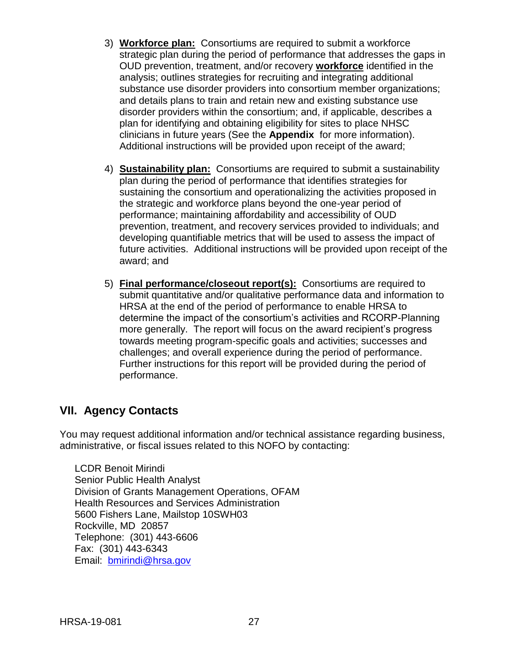- 3) **Workforce plan:** Consortiums are required to submit a workforce strategic plan during the period of performance that addresses the gaps in OUD prevention, treatment, and/or recovery **workforce** identified in the analysis; outlines strategies for recruiting and integrating additional substance use disorder providers into consortium member organizations; and details plans to train and retain new and existing substance use disorder providers within the consortium; and, if applicable, describes a plan for identifying and obtaining eligibility for sites to place NHSC clinicians in future years (See the **Appendix** for more information). Additional instructions will be provided upon receipt of the award;
- 4) **Sustainability plan:** Consortiums are required to submit a sustainability plan during the period of performance that identifies strategies for sustaining the consortium and operationalizing the activities proposed in the strategic and workforce plans beyond the one-year period of performance; maintaining affordability and accessibility of OUD prevention, treatment, and recovery services provided to individuals; and developing quantifiable metrics that will be used to assess the impact of future activities. Additional instructions will be provided upon receipt of the award; and
- 5) **Final performance/closeout report(s):** Consortiums are required to submit quantitative and/or qualitative performance data and information to HRSA at the end of the period of performance to enable HRSA to determine the impact of the consortium's activities and RCORP-Planning more generally. The report will focus on the award recipient's progress towards meeting program-specific goals and activities; successes and challenges; and overall experience during the period of performance. Further instructions for this report will be provided during the period of performance.

## <span id="page-30-0"></span>**VII. Agency Contacts**

You may request additional information and/or technical assistance regarding business, administrative, or fiscal issues related to this NOFO by contacting:

LCDR Benoit Mirindi Senior Public Health Analyst Division of Grants Management Operations, OFAM Health Resources and Services Administration 5600 Fishers Lane, Mailstop 10SWH03 Rockville, MD 20857 Telephone: (301) 443-6606 Fax: (301) 443-6343 Email: [bmirindi@hrsa.gov](mailto:bmirindi@hrsa.gov)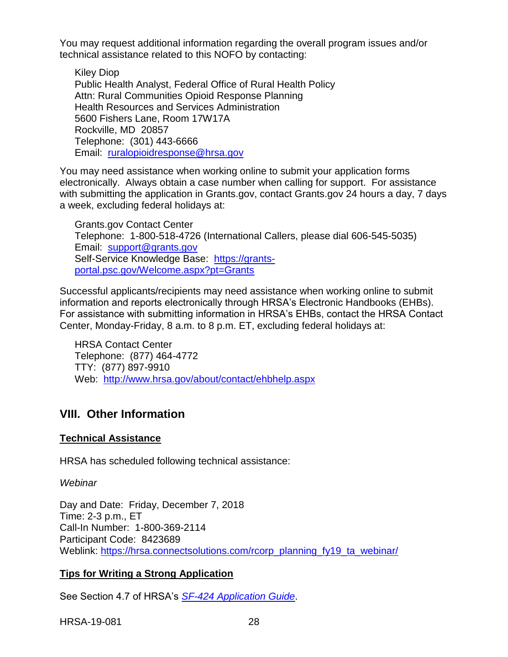You may request additional information regarding the overall program issues and/or technical assistance related to this NOFO by contacting:

Kiley Diop Public Health Analyst, Federal Office of Rural Health Policy Attn: Rural Communities Opioid Response Planning Health Resources and Services Administration 5600 Fishers Lane, Room 17W17A Rockville, MD 20857 Telephone: (301) 443-6666 Email: [ruralopioidresponse@hrsa.gov](mailto:ruralopioidresponse@hrsa.gov)

You may need assistance when working online to submit your application forms electronically. Always obtain a case number when calling for support. For assistance with submitting the application in Grants.gov, contact Grants.gov 24 hours a day, 7 days a week, excluding federal holidays at:

Grants.gov Contact Center Telephone: 1-800-518-4726 (International Callers, please dial 606-545-5035) Email: [support@grants.gov](mailto:support@grants.gov) Self-Service Knowledge Base: [https://grants](https://grants-portal.psc.gov/Welcome.aspx?pt=Grants)[portal.psc.gov/Welcome.aspx?pt=Grants](https://grants-portal.psc.gov/Welcome.aspx?pt=Grants)

Successful applicants/recipients may need assistance when working online to submit information and reports electronically through HRSA's Electronic Handbooks (EHBs). For assistance with submitting information in HRSA's EHBs, contact the HRSA Contact Center, Monday-Friday, 8 a.m. to 8 p.m. ET, excluding federal holidays at:

HRSA Contact Center Telephone: (877) 464-4772 TTY: (877) 897-9910 Web: <http://www.hrsa.gov/about/contact/ehbhelp.aspx>

## <span id="page-31-0"></span>**VIII. Other Information**

#### **Technical Assistance**

HRSA has scheduled following technical assistance:

*Webinar*

Day and Date: Friday, December 7, 2018 Time: 2-3 p.m., ET Call-In Number: 1-800-369-2114 Participant Code: 8423689 Weblink: [https://hrsa.connectsolutions.com/rcorp\\_planning\\_fy19\\_ta\\_webinar/](https://hrsa.connectsolutions.com/rcorp_planning_fy19_ta_webinar/)

## **Tips for Writing a Strong Application**

See Section 4.7 of HRSA's *SF-424 [Application Guide](http://www.hrsa.gov/grants/apply/applicationguide/sf424guide.pdf)*.

HRSA-19-081 28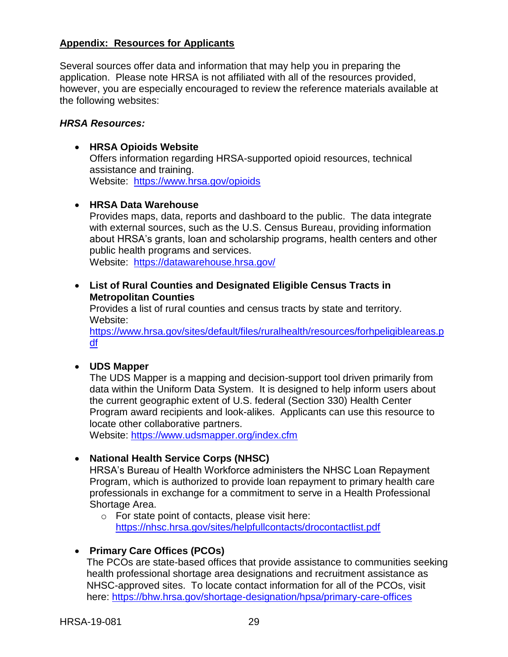### <span id="page-32-0"></span>**Appendix: Resources for Applicants**

Several sources offer data and information that may help you in preparing the application. Please note HRSA is not affiliated with all of the resources provided, however, you are especially encouraged to review the reference materials available at the following websites:

#### *HRSA Resources:*

 **HRSA Opioids Website** Offers information regarding HRSA-supported opioid resources, technical assistance and training. Website: <https://www.hrsa.gov/opioids>

#### **HRSA Data Warehouse**

Provides maps, data, reports and dashboard to the public. The data integrate with external sources, such as the U.S. Census Bureau, providing information about HRSA's grants, loan and scholarship programs, health centers and other public health programs and services.

Website: <https://datawarehouse.hrsa.gov/>

 **List of Rural Counties and Designated Eligible Census Tracts in Metropolitan Counties** 

Provides a list of rural counties and census tracts by state and territory. Website:

[https://www.hrsa.gov/sites/default/files/ruralhealth/resources/forhpeligibleareas.p](https://www.hrsa.gov/sites/default/files/ruralhealth/resources/forhpeligibleareas.pdf) [df](https://www.hrsa.gov/sites/default/files/ruralhealth/resources/forhpeligibleareas.pdf)

#### **UDS Mapper**

The UDS Mapper is a mapping and decision-support tool driven primarily from data within the Uniform Data System. It is designed to help inform users about the current geographic extent of U.S. federal (Section 330) Health Center Program award recipients and look-alikes. Applicants can use this resource to locate other collaborative partners.

Website:<https://www.udsmapper.org/index.cfm>

## **National Health Service Corps (NHSC)**

HRSA's Bureau of Health Workforce administers the NHSC Loan Repayment Program, which is authorized to provide loan repayment to primary health care professionals in exchange for a commitment to serve in a Health Professional Shortage Area.

o For state point of contacts, please visit here: <https://nhsc.hrsa.gov/sites/helpfullcontacts/drocontactlist.pdf>

## **Primary Care Offices (PCOs)**

The PCOs are state-based offices that provide assistance to communities seeking health professional shortage area designations and recruitment assistance as NHSC-approved sites. To locate contact information for all of the PCOs, visit here:<https://bhw.hrsa.gov/shortage-designation/hpsa/primary-care-offices>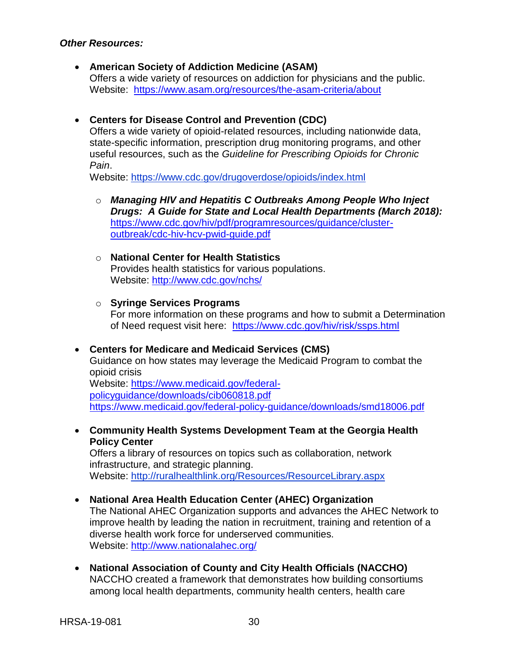#### *Other Resources:*

 **American Society of Addiction Medicine (ASAM)** Offers a wide variety of resources on addiction for physicians and the public. Website: <https://www.asam.org/resources/the-asam-criteria/about>

#### **Centers for Disease Control and Prevention (CDC)**

Offers a wide variety of opioid-related resources, including nationwide data, state-specific information, prescription drug monitoring programs, and other useful resources, such as the *Guideline for Prescribing Opioids for Chronic Pain*.

Website: <https://www.cdc.gov/drugoverdose/opioids/index.html>

- o *Managing HIV and Hepatitis C Outbreaks Among People Who Inject Drugs: A Guide for State and Local Health Departments (March 2018):*  [https://www.cdc.gov/hiv/pdf/programresources/guidance/cluster](https://www.cdc.gov/hiv/pdf/programresources/guidance/cluster-outbreak/cdc-hiv-hcv-pwid-guide.pdf)[outbreak/cdc-hiv-hcv-pwid-guide.pdf](https://www.cdc.gov/hiv/pdf/programresources/guidance/cluster-outbreak/cdc-hiv-hcv-pwid-guide.pdf)
- o **National Center for Health Statistics**  Provides health statistics for various populations. Website:<http://www.cdc.gov/nchs/>
- o **Syringe Services Programs** For more information on these programs and how to submit a Determination of Need request visit here: <https://www.cdc.gov/hiv/risk/ssps.html>

#### **Centers for Medicare and Medicaid Services (CMS)**

Guidance on how states may leverage the Medicaid Program to combat the opioid crisis Website: [https://www.medicaid.gov/federal](https://www.medicaid.gov/federal-policyguidance/downloads/cib060818.pdf)[policyguidance/downloads/cib060818.pdf](https://www.medicaid.gov/federal-policyguidance/downloads/cib060818.pdf) <https://www.medicaid.gov/federal-policy-guidance/downloads/smd18006.pdf>

 **Community Health Systems Development Team at the Georgia Health Policy Center**

Offers a library of resources on topics such as collaboration, network infrastructure, and strategic planning. Website: <http://ruralhealthlink.org/Resources/ResourceLibrary.aspx>

#### **National Area Health Education Center (AHEC) Organization**

The National AHEC Organization supports and advances the AHEC Network to improve health by leading the nation in recruitment, training and retention of a diverse health work force for underserved communities. Website:<http://www.nationalahec.org/>

 **National Association of County and City Health Officials (NACCHO)** NACCHO created a framework that demonstrates how building consortiums among local health departments, community health centers, health care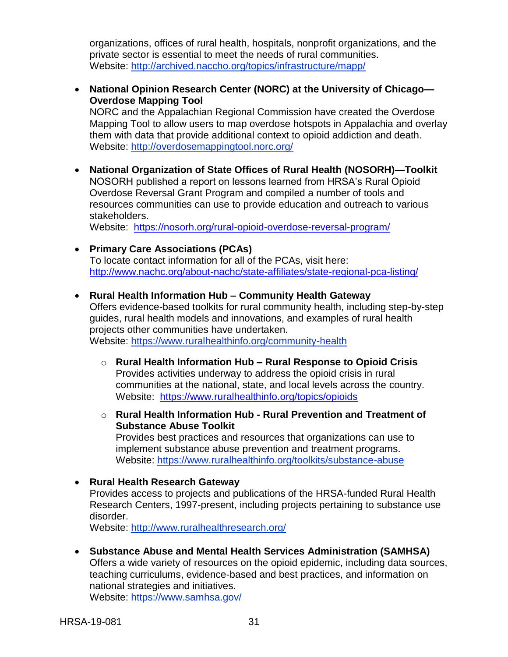organizations, offices of rural health, hospitals, nonprofit organizations, and the private sector is essential to meet the needs of rural communities. Website: <http://archived.naccho.org/topics/infrastructure/mapp/>

 **National Opinion Research Center (NORC) at the University of Chicago— Overdose Mapping Tool**

NORC and the Appalachian Regional Commission have created the Overdose Mapping Tool to allow users to map overdose hotspots in Appalachia and overlay them with data that provide additional context to opioid addiction and death. Website: <http://overdosemappingtool.norc.org/>

 **National Organization of State Offices of Rural Health (NOSORH)—Toolkit**  NOSORH published a report on lessons learned from HRSA's Rural Opioid Overdose Reversal Grant Program and compiled a number of tools and resources communities can use to provide education and outreach to various stakeholders.

Website: <https://nosorh.org/rural-opioid-overdose-reversal-program/>

- **Primary Care Associations (PCAs)** To locate contact information for all of the PCAs, visit here: <http://www.nachc.org/about-nachc/state-affiliates/state-regional-pca-listing/>
- **Rural Health Information Hub – Community Health Gateway** Offers evidence-based toolkits for rural community health, including step-by-step guides, rural health models and innovations, and examples of rural health projects other communities have undertaken.

Website: <https://www.ruralhealthinfo.org/community-health>

- o **Rural Health Information Hub – Rural Response to Opioid Crisis** Provides activities underway to address the opioid crisis in rural communities at the national, state, and local levels across the country. Website: <https://www.ruralhealthinfo.org/topics/opioids>
- o **Rural Health Information Hub - Rural Prevention and Treatment of Substance Abuse Toolkit**

Provides best practices and resources that organizations can use to implement substance abuse prevention and treatment programs. Website: <https://www.ruralhealthinfo.org/toolkits/substance-abuse>

**Rural Health Research Gateway**

Provides access to projects and publications of the HRSA-funded Rural Health Research Centers, 1997-present, including projects pertaining to substance use disorder.

Website: <http://www.ruralhealthresearch.org/>

 **Substance Abuse and Mental Health Services Administration (SAMHSA)** Offers a wide variety of resources on the opioid epidemic, including data sources, teaching curriculums, evidence-based and best practices, and information on national strategies and initiatives. Website: <https://www.samhsa.gov/>